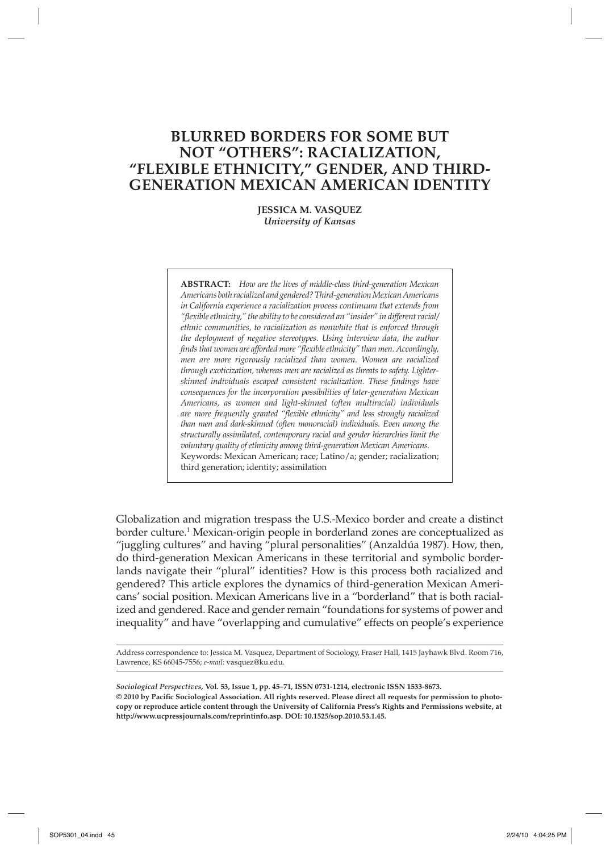# **BLURRED BORDERS FOR SOME BUT NOT "OTHERS": RACIALIZATION, "FLEXIBLE ETHNICITY," GENDER, AND THIRD-GENERATION MEXICAN AMERICAN IDENTITY**

**JESSICA M. VASQUEZ** *University of Kansas*

**ABSTRACT:** *How are the lives of middle-class third-generation Mexican Americans both racialized and gendered? Third-generation Mexican Americans in California experience a racialization process continuum that extends from "flexible ethnicity," the ability to be considered an "insider" in different racial/ ethnic communities, to racialization as nonwhite that is enforced through the deployment of negative stereotypes. Using interview data, the author finds that women are afforded more "flexible ethnicity" than men. Accordingly, men are more rigorously racialized than women. Women are racialized through exoticization, whereas men are racialized as threats to safety. Lighterskinned individuals escaped consistent racialization. These findings have consequences for the incorporation possibilities of later-generation Mexican Americans, as women and light-skinned (often multiracial) individuals are more frequently granted "flexible ethnicity" and less strongly racialized than men and dark-skinned (often monoracial) individuals. Even among the structurally assimilated, contemporary racial and gender hierarchies limit the voluntary quality of ethnicity among third-generation Mexican Americans.* Keywords: Mexican American; race; Latino/a; gender; racialization; third generation; identity; assimilation

Globalization and migration trespass the U.S.-Mexico border and create a distinct border culture.<sup>1</sup> Mexican-origin people in borderland zones are conceptualized as "juggling cultures" and having "plural personalities" (Anzaldúa 1987). How, then, do third-generation Mexican Americans in these territorial and symbolic borderlands navigate their "plural" identities? How is this process both racialized and gendered? This article explores the dynamics of third-generation Mexican Americans' social position. Mexican Americans live in a "borderland" that is both racialized and gendered. Race and gender remain "foundations for systems of power and inequality" and have "overlapping and cumulative" effects on people's experience

Address correspondence to: Jessica M. Vasquez, Department of Sociology, Fraser Hall, 1415 Jayhawk Blvd. Room 716, Lawrence, KS 66045-7556; *e-mail*: vasquez@ku.edu.

*Sociological Perspectives***, Vol. 53, Issue 1, pp. 45–71, ISSN 0731-1214, electronic ISSN 1533-8673. © 2010 by Pacific Sociological Association. All rights reserved. Please direct all requests for permission to photocopy or reproduce article content through the University of California Press's Rights and Permissions website, at http://www.ucpressjournals.com/reprintinfo.asp. DOI: 10.1525/sop.2010.53.1.45.**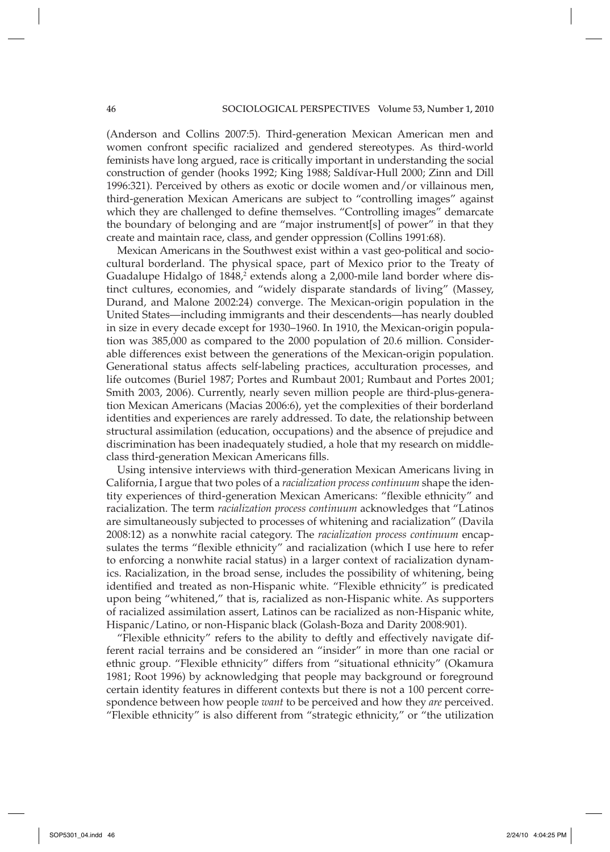(Anderson and Collins 2007:5). Third-generation Mexican American men and women confront specific racialized and gendered stereotypes. As third-world feminists have long argued, race is critically important in understanding the social construction of gender (hooks 1992; King 1988; Saldívar-Hull 2000; Zinn and Dill 1996:321). Perceived by others as exotic or docile women and/or villainous men, third-generation Mexican Americans are subject to "controlling images" against which they are challenged to define themselves. "Controlling images" demarcate the boundary of belonging and are "major instrument[s] of power" in that they create and maintain race, class, and gender oppression (Collins 1991:68).

Mexican Americans in the Southwest exist within a vast geo-political and sociocultural borderland. The physical space, part of Mexico prior to the Treaty of Guadalupe Hidalgo of 1848,<sup>2</sup> extends along a 2,000-mile land border where distinct cultures, economies, and "widely disparate standards of living" (Massey, Durand, and Malone 2002:24) converge. The Mexican-origin population in the United States—including immigrants and their descendents—has nearly doubled in size in every decade except for 1930–1960. In 1910, the Mexican-origin population was 385,000 as compared to the 2000 population of 20.6 million. Considerable differences exist between the generations of the Mexican-origin population. Generational status affects self-labeling practices, acculturation processes, and life outcomes (Buriel 1987; Portes and Rumbaut 2001; Rumbaut and Portes 2001; Smith 2003, 2006). Currently, nearly seven million people are third-plus-generation Mexican Americans (Macias 2006:6), yet the complexities of their borderland identities and experiences are rarely addressed. To date, the relationship between structural assimilation (education, occupations) and the absence of prejudice and discrimination has been inadequately studied, a hole that my research on middleclass third-generation Mexican Americans fills.

Using intensive interviews with third-generation Mexican Americans living in California, I argue that two poles of a *racialization process continuum* shape the identity experiences of third-generation Mexican Americans: "flexible ethnicity" and racialization. The term *racialization process continuum* acknowledges that "Latinos are simultaneously subjected to processes of whitening and racialization" (Davila 2008:12) as a nonwhite racial category. The *racialization process continuum* encapsulates the terms "flexible ethnicity" and racialization (which I use here to refer to enforcing a nonwhite racial status) in a larger context of racialization dynamics. Racialization, in the broad sense, includes the possibility of whitening, being identified and treated as non-Hispanic white. "Flexible ethnicity" is predicated upon being "whitened," that is, racialized as non-Hispanic white. As supporters of racialized assimilation assert, Latinos can be racialized as non-Hispanic white, Hispanic/Latino, or non-Hispanic black (Golash-Boza and Darity 2008:901).

"Flexible ethnicity" refers to the ability to deftly and effectively navigate different racial terrains and be considered an "insider" in more than one racial or ethnic group. "Flexible ethnicity" differs from "situational ethnicity" (Okamura 1981; Root 1996) by acknowledging that people may background or foreground certain identity features in different contexts but there is not a 100 percent correspondence between how people *want* to be perceived and how they *are* perceived. "Flexible ethnicity" is also different from "strategic ethnicity," or "the utilization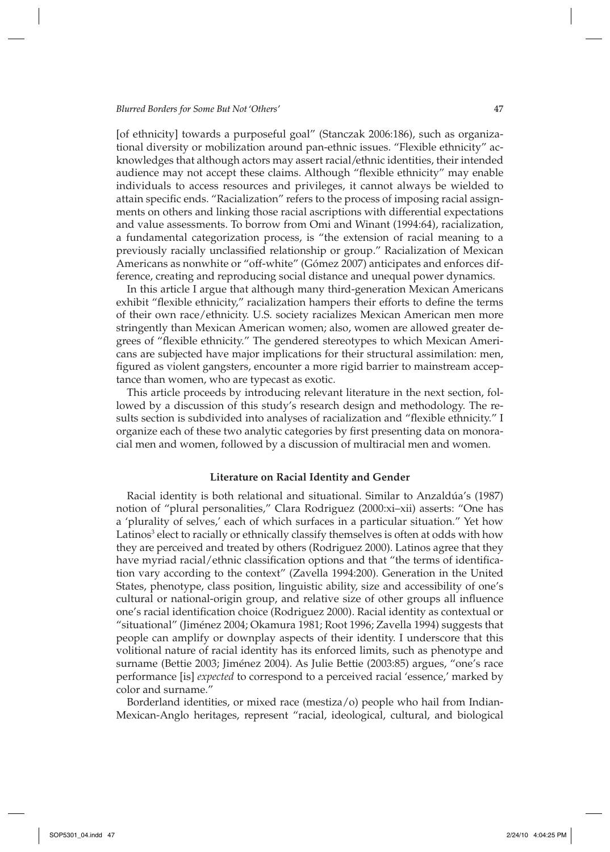[of ethnicity] towards a purposeful goal" (Stanczak 2006:186), such as organizational diversity or mobilization around pan-ethnic issues. "Flexible ethnicity" acknowledges that although actors may assert racial/ethnic identities, their intended audience may not accept these claims. Although "flexible ethnicity" may enable individuals to access resources and privileges, it cannot always be wielded to attain specific ends. "Racialization" refers to the process of imposing racial assignments on others and linking those racial ascriptions with differential expectations and value assessments. To borrow from Omi and Winant (1994:64), racialization, a fundamental categorization process, is "the extension of racial meaning to a previously racially unclassified relationship or group." Racialization of Mexican Americans as nonwhite or "off-white" (Gómez 2007) anticipates and enforces difference, creating and reproducing social distance and unequal power dynamics.

In this article I argue that although many third-generation Mexican Americans exhibit "flexible ethnicity," racialization hampers their efforts to define the terms of their own race/ethnicity. U.S. society racializes Mexican American men more stringently than Mexican American women; also, women are allowed greater degrees of "flexible ethnicity." The gendered stereotypes to which Mexican Americans are subjected have major implications for their structural assimilation: men, figured as violent gangsters, encounter a more rigid barrier to mainstream acceptance than women, who are typecast as exotic.

This article proceeds by introducing relevant literature in the next section, followed by a discussion of this study's research design and methodology. The results section is subdivided into analyses of racialization and "flexible ethnicity." I organize each of these two analytic categories by first presenting data on monoracial men and women, followed by a discussion of multiracial men and women.

### **Literature on Racial Identity and Gender**

Racial identity is both relational and situational. Similar to Anzaldúa's (1987) notion of "plural personalities," Clara Rodriguez (2000:xi–xii) asserts: "One has a 'plurality of selves,' each of which surfaces in a particular situation." Yet how Latinos<sup>3</sup> elect to racially or ethnically classify themselves is often at odds with how they are perceived and treated by others (Rodriguez 2000). Latinos agree that they have myriad racial/ethnic classification options and that "the terms of identification vary according to the context" (Zavella 1994:200). Generation in the United States, phenotype, class position, linguistic ability, size and accessibility of one's cultural or national-origin group, and relative size of other groups all influence one's racial identification choice (Rodriguez 2000). Racial identity as contextual or "situational" (Jiménez 2004; Okamura 1981; Root 1996; Zavella 1994) suggests that people can amplify or downplay aspects of their identity. I underscore that this volitional nature of racial identity has its enforced limits, such as phenotype and surname (Bettie 2003; Jiménez 2004). As Julie Bettie (2003:85) argues, "one's race performance [is] *expected* to correspond to a perceived racial 'essence,' marked by color and surname."

Borderland identities, or mixed race (mestiza/o) people who hail from Indian-Mexican-Anglo heritages, represent "racial, ideological, cultural, and biological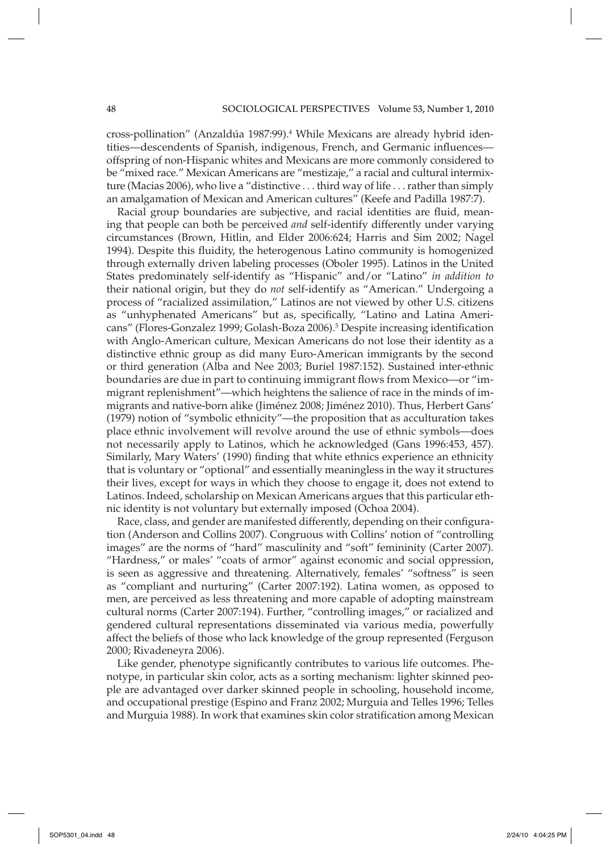cross-pollination" (Anzaldúa 1987:99).<sup>4</sup> While Mexicans are already hybrid identities—descendents of Spanish, indigenous, French, and Germanic influences offspring of non-Hispanic whites and Mexicans are more commonly considered to be "mixed race." Mexican Americans are "mestizaje," a racial and cultural intermixture (Macias 2006), who live a "distinctive . . . third way of life . . . rather than simply an amalgamation of Mexican and American cultures" (Keefe and Padilla 1987:7).

Racial group boundaries are subjective, and racial identities are fluid, meaning that people can both be perceived *and* self-identify differently under varying circumstances (Brown, Hitlin, and Elder 2006:624; Harris and Sim 2002; Nagel 1994). Despite this fluidity, the heterogenous Latino community is homogenized through externally driven labeling processes (Oboler 1995). Latinos in the United States predominately self-identify as "Hispanic" and/or "Latino" *in addition to* their national origin, but they do *not* self-identify as "American." Undergoing a process of "racialized assimilation," Latinos are not viewed by other U.S. citizens as "unhyphenated Americans" but as, specifically, "Latino and Latina Americans" (Flores-Gonzalez 1999; Golash-Boza 2006).<sup>5</sup> Despite increasing identification with Anglo-American culture, Mexican Americans do not lose their identity as a distinctive ethnic group as did many Euro-American immigrants by the second or third generation (Alba and Nee 2003; Buriel 1987:152). Sustained inter-ethnic boundaries are due in part to continuing immigrant flows from Mexico—or "immigrant replenishment"—which heightens the salience of race in the minds of immigrants and native-born alike (Jiménez 2008; Jiménez 2010). Thus, Herbert Gans' (1979) notion of "symbolic ethnicity"—the proposition that as acculturation takes place ethnic involvement will revolve around the use of ethnic symbols—does not necessarily apply to Latinos, which he acknowledged (Gans 1996:453, 457). Similarly, Mary Waters' (1990) finding that white ethnics experience an ethnicity that is voluntary or "optional" and essentially meaningless in the way it structures their lives, except for ways in which they choose to engage it, does not extend to Latinos. Indeed, scholarship on Mexican Americans argues that this particular ethnic identity is not voluntary but externally imposed (Ochoa 2004).

Race, class, and gender are manifested differently, depending on their configuration (Anderson and Collins 2007). Congruous with Collins' notion of "controlling images" are the norms of "hard" masculinity and "soft" femininity (Carter 2007). "Hardness," or males' "coats of armor" against economic and social oppression, is seen as aggressive and threatening. Alternatively, females' "softness" is seen as "compliant and nurturing" (Carter 2007:192). Latina women, as opposed to men, are perceived as less threatening and more capable of adopting mainstream cultural norms (Carter 2007:194). Further, "controlling images," or racialized and gendered cultural representations disseminated via various media, powerfully affect the beliefs of those who lack knowledge of the group represented (Ferguson 2000; Rivadeneyra 2006).

Like gender, phenotype significantly contributes to various life outcomes. Phenotype, in particular skin color, acts as a sorting mechanism: lighter skinned people are advantaged over darker skinned people in schooling, household income, and occupational prestige (Espino and Franz 2002; Murguia and Telles 1996; Telles and Murguia 1988). In work that examines skin color stratification among Mexican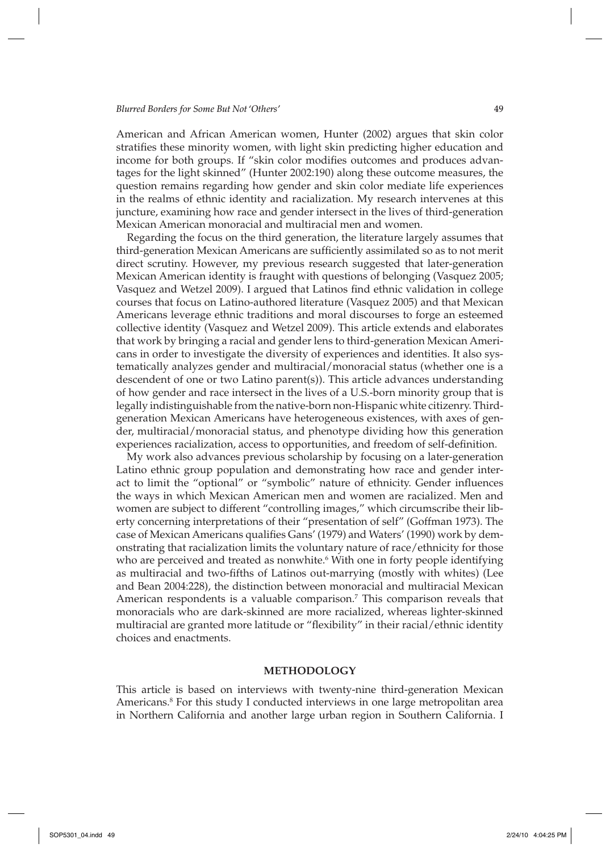American and African American women, Hunter (2002) argues that skin color stratifies these minority women, with light skin predicting higher education and income for both groups. If "skin color modifies outcomes and produces advantages for the light skinned" (Hunter 2002:190) along these outcome measures, the question remains regarding how gender and skin color mediate life experiences in the realms of ethnic identity and racialization. My research intervenes at this juncture, examining how race and gender intersect in the lives of third-generation Mexican American monoracial and multiracial men and women.

Regarding the focus on the third generation, the literature largely assumes that third-generation Mexican Americans are sufficiently assimilated so as to not merit direct scrutiny. However, my previous research suggested that later-generation Mexican American identity is fraught with questions of belonging (Vasquez 2005; Vasquez and Wetzel 2009). I argued that Latinos find ethnic validation in college courses that focus on Latino-authored literature (Vasquez 2005) and that Mexican Americans leverage ethnic traditions and moral discourses to forge an esteemed collective identity (Vasquez and Wetzel 2009). This article extends and elaborates that work by bringing a racial and gender lens to third-generation Mexican Americans in order to investigate the diversity of experiences and identities. It also systematically analyzes gender and multiracial/monoracial status (whether one is a descendent of one or two Latino parent(s)). This article advances understanding of how gender and race intersect in the lives of a U.S.-born minority group that is legally indistinguishable from the native-born non-Hispanic white citizenry. Thirdgeneration Mexican Americans have heterogeneous existences, with axes of gender, multiracial/monoracial status, and phenotype dividing how this generation experiences racialization, access to opportunities, and freedom of self-definition.

My work also advances previous scholarship by focusing on a later-generation Latino ethnic group population and demonstrating how race and gender interact to limit the "optional" or "symbolic" nature of ethnicity. Gender influences the ways in which Mexican American men and women are racialized. Men and women are subject to different "controlling images," which circumscribe their liberty concerning interpretations of their "presentation of self" (Goffman 1973). The case of Mexican Americans qualifies Gans' (1979) and Waters' (1990) work by demonstrating that racialization limits the voluntary nature of race/ethnicity for those who are perceived and treated as nonwhite.<sup>6</sup> With one in forty people identifying as multiracial and two-fifths of Latinos out-marrying (mostly with whites) (Lee and Bean 2004:228), the distinction between monoracial and multiracial Mexican American respondents is a valuable comparison.<sup>7</sup> This comparison reveals that monoracials who are dark-skinned are more racialized, whereas lighter-skinned multiracial are granted more latitude or "flexibility" in their racial/ethnic identity choices and enactments.

#### **METHODOLOGY**

This article is based on interviews with twenty-nine third-generation Mexican Americans.<sup>8</sup> For this study I conducted interviews in one large metropolitan area in Northern California and another large urban region in Southern California. I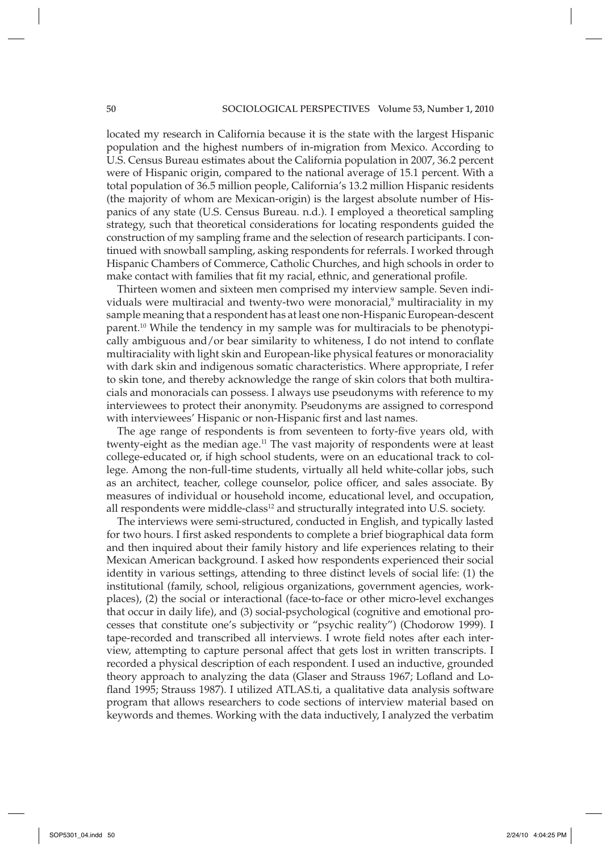located my research in California because it is the state with the largest Hispanic population and the highest numbers of in-migration from Mexico. According to U.S. Census Bureau estimates about the California population in 2007, 36.2 percent were of Hispanic origin, compared to the national average of 15.1 percent. With a total population of 36.5 million people, California's 13.2 million Hispanic residents (the majority of whom are Mexican-origin) is the largest absolute number of Hispanics of any state (U.S. Census Bureau. n.d.). I employed a theoretical sampling strategy, such that theoretical considerations for locating respondents guided the construction of my sampling frame and the selection of research participants. I continued with snowball sampling, asking respondents for referrals. I worked through Hispanic Chambers of Commerce, Catholic Churches, and high schools in order to make contact with families that fit my racial, ethnic, and generational profile.

Thirteen women and sixteen men comprised my interview sample. Seven individuals were multiracial and twenty-two were monoracial,<sup>9</sup> multiraciality in my sample meaning that a respondent has at least one non-Hispanic European-descent parent.<sup>10</sup> While the tendency in my sample was for multiracials to be phenotypically ambiguous and/or bear similarity to whiteness, I do not intend to conflate multiraciality with light skin and European-like physical features or monoraciality with dark skin and indigenous somatic characteristics. Where appropriate, I refer to skin tone, and thereby acknowledge the range of skin colors that both multiracials and monoracials can possess. I always use pseudonyms with reference to my interviewees to protect their anonymity. Pseudonyms are assigned to correspond with interviewees' Hispanic or non-Hispanic first and last names.

The age range of respondents is from seventeen to forty-five years old, with twenty-eight as the median age.<sup>11</sup> The vast majority of respondents were at least college-educated or, if high school students, were on an educational track to college. Among the non-full-time students, virtually all held white-collar jobs, such as an architect, teacher, college counselor, police officer, and sales associate. By measures of individual or household income, educational level, and occupation, all respondents were middle-class<sup>12</sup> and structurally integrated into U.S. society.

The interviews were semi-structured, conducted in English, and typically lasted for two hours. I first asked respondents to complete a brief biographical data form and then inquired about their family history and life experiences relating to their Mexican American background. I asked how respondents experienced their social identity in various settings, attending to three distinct levels of social life: (1) the institutional (family, school, religious organizations, government agencies, workplaces), (2) the social or interactional (face-to-face or other micro-level exchanges that occur in daily life), and (3) social-psychological (cognitive and emotional processes that constitute one's subjectivity or "psychic reality") (Chodorow 1999). I tape-recorded and transcribed all interviews. I wrote field notes after each interview, attempting to capture personal affect that gets lost in written transcripts. I recorded a physical description of each respondent. I used an inductive, grounded theory approach to analyzing the data (Glaser and Strauss 1967; Lofland and Lofland 1995; Strauss 1987). I utilized ATLAS.ti, a qualitative data analysis software program that allows researchers to code sections of interview material based on keywords and themes. Working with the data inductively, I analyzed the verbatim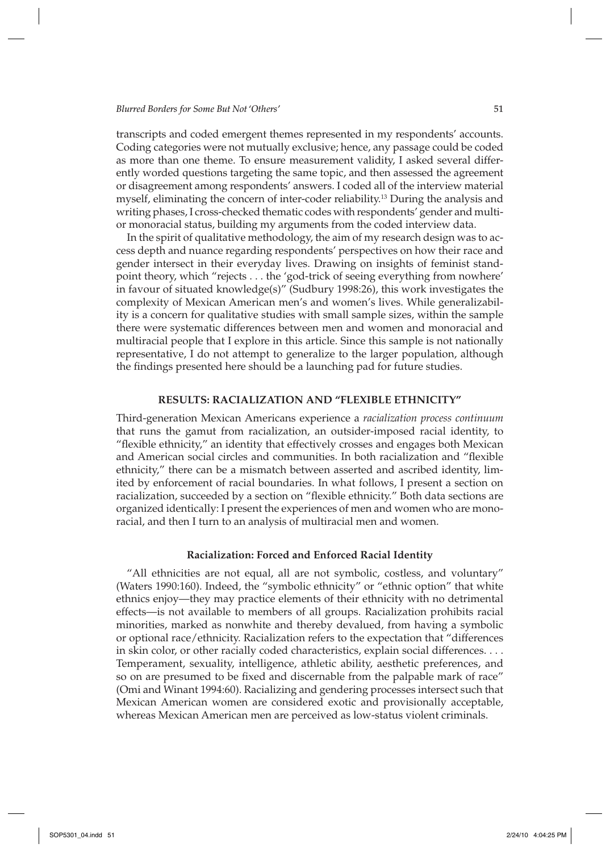transcripts and coded emergent themes represented in my respondents' accounts. Coding categories were not mutually exclusive; hence, any passage could be coded as more than one theme. To ensure measurement validity, I asked several differently worded questions targeting the same topic, and then assessed the agreement or disagreement among respondents' answers. I coded all of the interview material myself, eliminating the concern of inter-coder reliability.13 During the analysis and writing phases, I cross-checked thematic codes with respondents' gender and multior monoracial status, building my arguments from the coded interview data.

In the spirit of qualitative methodology, the aim of my research design was to access depth and nuance regarding respondents' perspectives on how their race and gender intersect in their everyday lives. Drawing on insights of feminist standpoint theory, which "rejects . . . the 'god-trick of seeing everything from nowhere' in favour of situated knowledge(s)" (Sudbury 1998:26), this work investigates the complexity of Mexican American men's and women's lives. While generalizability is a concern for qualitative studies with small sample sizes, within the sample there were systematic differences between men and women and monoracial and multiracial people that I explore in this article. Since this sample is not nationally representative, I do not attempt to generalize to the larger population, although the findings presented here should be a launching pad for future studies.

### **RESULTS: RACIALIZATION AND "FLEXIBLE ETHNICITY"**

Third-generation Mexican Americans experience a *racialization process continuum* that runs the gamut from racialization, an outsider-imposed racial identity, to "flexible ethnicity," an identity that effectively crosses and engages both Mexican and American social circles and communities. In both racialization and "flexible ethnicity," there can be a mismatch between asserted and ascribed identity, limited by enforcement of racial boundaries. In what follows, I present a section on racialization, succeeded by a section on "flexible ethnicity." Both data sections are organized identically: I present the experiences of men and women who are monoracial, and then I turn to an analysis of multiracial men and women.

#### **Racialization: Forced and Enforced Racial Identity**

"All ethnicities are not equal, all are not symbolic, costless, and voluntary" (Waters 1990:160). Indeed, the "symbolic ethnicity" or "ethnic option" that white ethnics enjoy—they may practice elements of their ethnicity with no detrimental effects—is not available to members of all groups. Racialization prohibits racial minorities, marked as nonwhite and thereby devalued, from having a symbolic or optional race/ethnicity. Racialization refers to the expectation that "differences in skin color, or other racially coded characteristics, explain social differences. . . . Temperament, sexuality, intelligence, athletic ability, aesthetic preferences, and so on are presumed to be fixed and discernable from the palpable mark of race" (Omi and Winant 1994:60). Racializing and gendering processes intersect such that Mexican American women are considered exotic and provisionally acceptable, whereas Mexican American men are perceived as low-status violent criminals.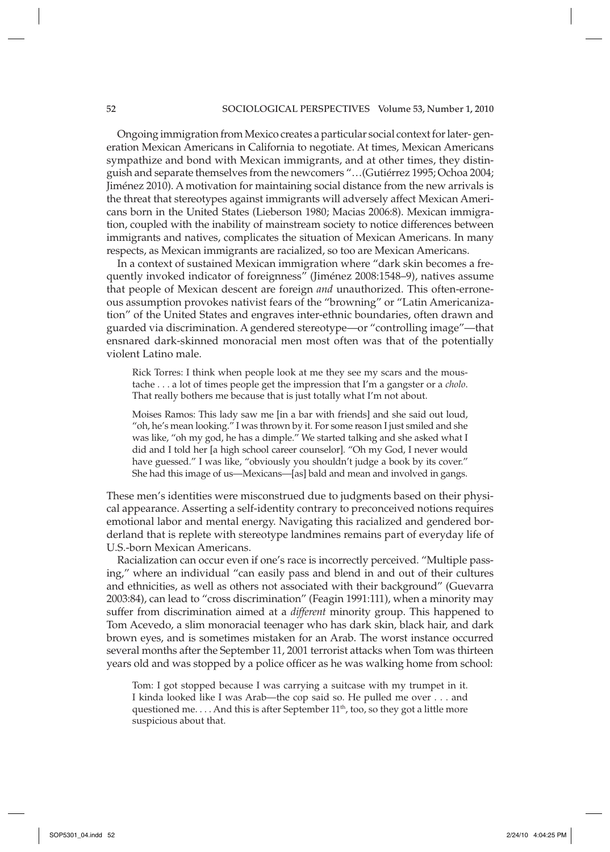Ongoing immigration from Mexico creates a particular social context for later- generation Mexican Americans in California to negotiate. At times, Mexican Americans sympathize and bond with Mexican immigrants, and at other times, they distinguish and separate themselves from the newcomers "…(Gutiérrez 1995; Ochoa 2004; Jiménez 2010). A motivation for maintaining social distance from the new arrivals is the threat that stereotypes against immigrants will adversely affect Mexican Americans born in the United States (Lieberson 1980; Macias 2006:8). Mexican immigration, coupled with the inability of mainstream society to notice differences between immigrants and natives, complicates the situation of Mexican Americans. In many respects, as Mexican immigrants are racialized, so too are Mexican Americans.

In a context of sustained Mexican immigration where "dark skin becomes a frequently invoked indicator of foreignness" (Jiménez 2008:1548–9), natives assume that people of Mexican descent are foreign *and* unauthorized. This often-erroneous assumption provokes nativist fears of the "browning" or "Latin Americanization" of the United States and engraves inter-ethnic boundaries, often drawn and guarded via discrimination. A gendered stereotype—or "controlling image"—that ensnared dark-skinned monoracial men most often was that of the potentially violent Latino male.

Rick Torres: I think when people look at me they see my scars and the moustache . . . a lot of times people get the impression that I'm a gangster or a *cholo*. That really bothers me because that is just totally what I'm not about.

Moises Ramos: This lady saw me [in a bar with friends] and she said out loud, "oh, he's mean looking." I was thrown by it. For some reason I just smiled and she was like, "oh my god, he has a dimple." We started talking and she asked what I did and I told her [a high school career counselor]. "Oh my God, I never would have guessed." I was like, "obviously you shouldn't judge a book by its cover." She had this image of us—Mexicans—[as] bald and mean and involved in gangs.

These men's identities were misconstrued due to judgments based on their physical appearance. Asserting a self-identity contrary to preconceived notions requires emotional labor and mental energy. Navigating this racialized and gendered borderland that is replete with stereotype landmines remains part of everyday life of U.S.-born Mexican Americans.

Racialization can occur even if one's race is incorrectly perceived. "Multiple passing," where an individual "can easily pass and blend in and out of their cultures and ethnicities, as well as others not associated with their background" (Guevarra 2003:84), can lead to "cross discrimination" (Feagin 1991:111), when a minority may suffer from discrimination aimed at a *different* minority group. This happened to Tom Acevedo, a slim monoracial teenager who has dark skin, black hair, and dark brown eyes, and is sometimes mistaken for an Arab. The worst instance occurred several months after the September 11, 2001 terrorist attacks when Tom was thirteen years old and was stopped by a police officer as he was walking home from school:

Tom: I got stopped because I was carrying a suitcase with my trumpet in it. I kinda looked like I was Arab—the cop said so. He pulled me over . . . and questioned me.  $\dots$  And this is after September  $11<sup>th</sup>$ , too, so they got a little more suspicious about that.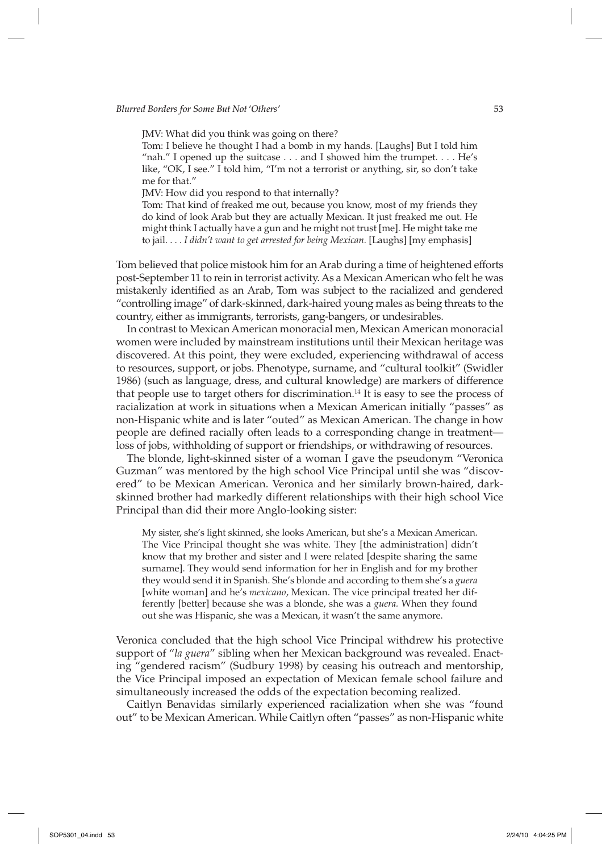JMV: What did you think was going on there?

Tom: I believe he thought I had a bomb in my hands. [Laughs] But I told him "nah." I opened up the suitcase . . . and I showed him the trumpet. . . . He's like, "OK, I see." I told him, "I'm not a terrorist or anything, sir, so don't take me for that."

JMV: How did you respond to that internally?

Tom: That kind of freaked me out, because you know, most of my friends they do kind of look Arab but they are actually Mexican. It just freaked me out. He might think I actually have a gun and he might not trust [me]. He might take me to jail. . . . *I didn't want to get arrested for being Mexican*. [Laughs] [my emphasis]

Tom believed that police mistook him for an Arab during a time of heightened efforts post-September 11 to rein in terrorist activity. As a Mexican American who felt he was mistakenly identified as an Arab, Tom was subject to the racialized and gendered "controlling image" of dark-skinned, dark-haired young males as being threats to the country, either as immigrants, terrorists, gang-bangers, or undesirables.

In contrast to Mexican American monoracial men, Mexican American monoracial women were included by mainstream institutions until their Mexican heritage was discovered. At this point, they were excluded, experiencing withdrawal of access to resources, support, or jobs. Phenotype, surname, and "cultural toolkit" (Swidler 1986) (such as language, dress, and cultural knowledge) are markers of difference that people use to target others for discrimination.<sup>14</sup> It is easy to see the process of racialization at work in situations when a Mexican American initially "passes" as non-Hispanic white and is later "outed" as Mexican American. The change in how people are defined racially often leads to a corresponding change in treatment loss of jobs, withholding of support or friendships, or withdrawing of resources.

The blonde, light-skinned sister of a woman I gave the pseudonym "Veronica Guzman" was mentored by the high school Vice Principal until she was "discovered" to be Mexican American. Veronica and her similarly brown-haired, darkskinned brother had markedly different relationships with their high school Vice Principal than did their more Anglo-looking sister:

My sister, she's light skinned, she looks American, but she's a Mexican American. The Vice Principal thought she was white. They [the administration] didn't know that my brother and sister and I were related [despite sharing the same surname]. They would send information for her in English and for my brother they would send it in Spanish. She's blonde and according to them she's a *guera* [white woman] and he's *mexicano*, Mexican. The vice principal treated her differently [better] because she was a blonde, she was a *guera.* When they found out she was Hispanic, she was a Mexican, it wasn't the same anymore.

Veronica concluded that the high school Vice Principal withdrew his protective support of "*la guera*" sibling when her Mexican background was revealed. Enacting "gendered racism" (Sudbury 1998) by ceasing his outreach and mentorship, the Vice Principal imposed an expectation of Mexican female school failure and simultaneously increased the odds of the expectation becoming realized.

Caitlyn Benavidas similarly experienced racialization when she was "found out" to be Mexican American. While Caitlyn often "passes" as non-Hispanic white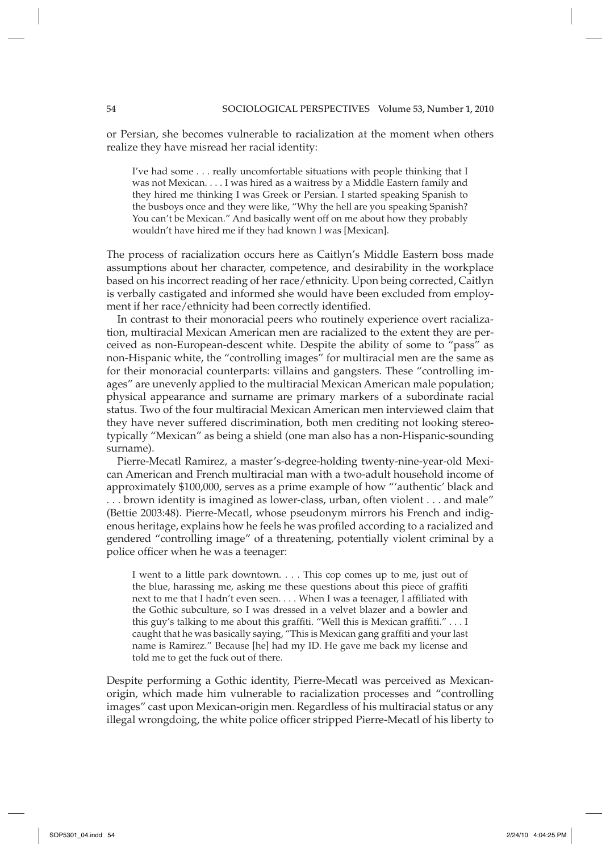or Persian, she becomes vulnerable to racialization at the moment when others realize they have misread her racial identity:

I've had some . . . really uncomfortable situations with people thinking that I was not Mexican. . . . I was hired as a waitress by a Middle Eastern family and they hired me thinking I was Greek or Persian. I started speaking Spanish to the busboys once and they were like, "Why the hell are you speaking Spanish? You can't be Mexican." And basically went off on me about how they probably wouldn't have hired me if they had known I was [Mexican].

The process of racialization occurs here as Caitlyn's Middle Eastern boss made assumptions about her character, competence, and desirability in the workplace based on his incorrect reading of her race/ethnicity. Upon being corrected, Caitlyn is verbally castigated and informed she would have been excluded from employment if her race/ethnicity had been correctly identified.

In contrast to their monoracial peers who routinely experience overt racialization, multiracial Mexican American men are racialized to the extent they are perceived as non-European-descent white. Despite the ability of some to "pass" as non-Hispanic white, the "controlling images" for multiracial men are the same as for their monoracial counterparts: villains and gangsters. These "controlling images" are unevenly applied to the multiracial Mexican American male population; physical appearance and surname are primary markers of a subordinate racial status. Two of the four multiracial Mexican American men interviewed claim that they have never suffered discrimination, both men crediting not looking stereotypically "Mexican" as being a shield (one man also has a non-Hispanic-sounding surname).

Pierre-Mecatl Ramirez, a master's-degree-holding twenty-nine-year-old Mexican American and French multiracial man with a two-adult household income of approximately \$100,000, serves as a prime example of how "'authentic' black and . . . brown identity is imagined as lower-class, urban, often violent . . . and male" (Bettie 2003:48). Pierre-Mecatl, whose pseudonym mirrors his French and indigenous heritage, explains how he feels he was profiled according to a racialized and gendered "controlling image" of a threatening, potentially violent criminal by a police officer when he was a teenager:

I went to a little park downtown. . . . This cop comes up to me, just out of the blue, harassing me, asking me these questions about this piece of graffiti next to me that I hadn't even seen. . . . When I was a teenager, I affiliated with the Gothic subculture, so I was dressed in a velvet blazer and a bowler and this guy's talking to me about this graffiti. "Well this is Mexican graffiti." . . . I caught that he was basically saying, "This is Mexican gang graffiti and your last name is Ramirez." Because [he] had my ID. He gave me back my license and told me to get the fuck out of there.

Despite performing a Gothic identity, Pierre-Mecatl was perceived as Mexicanorigin, which made him vulnerable to racialization processes and "controlling images" cast upon Mexican-origin men. Regardless of his multiracial status or any illegal wrongdoing, the white police officer stripped Pierre-Mecatl of his liberty to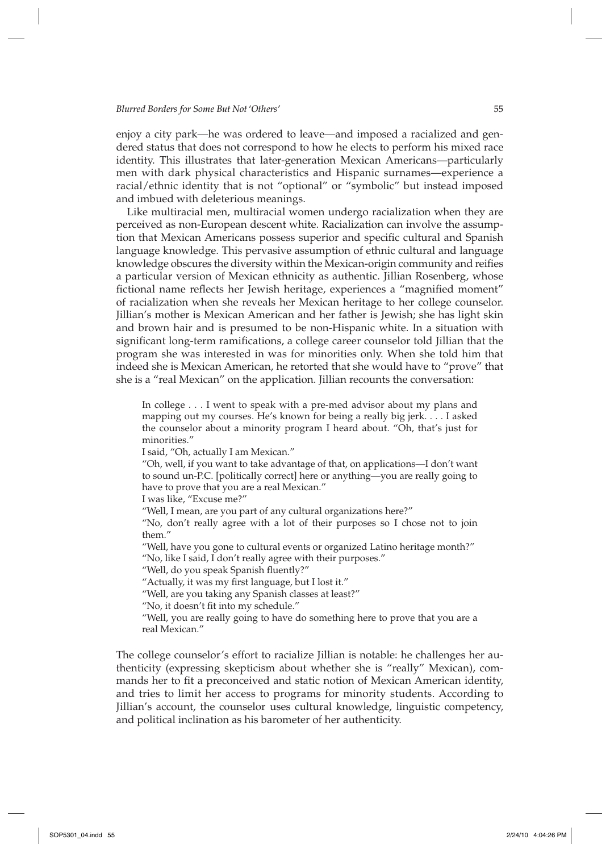enjoy a city park—he was ordered to leave—and imposed a racialized and gendered status that does not correspond to how he elects to perform his mixed race identity. This illustrates that later-generation Mexican Americans—particularly men with dark physical characteristics and Hispanic surnames—experience a racial/ethnic identity that is not "optional" or "symbolic" but instead imposed and imbued with deleterious meanings.

Like multiracial men, multiracial women undergo racialization when they are perceived as non-European descent white. Racialization can involve the assumption that Mexican Americans possess superior and specific cultural and Spanish language knowledge. This pervasive assumption of ethnic cultural and language knowledge obscures the diversity within the Mexican-origin community and reifies a particular version of Mexican ethnicity as authentic. Jillian Rosenberg, whose fictional name reflects her Jewish heritage, experiences a "magnified moment" of racialization when she reveals her Mexican heritage to her college counselor. Jillian's mother is Mexican American and her father is Jewish; she has light skin and brown hair and is presumed to be non-Hispanic white. In a situation with significant long-term ramifications, a college career counselor told Jillian that the program she was interested in was for minorities only. When she told him that indeed she is Mexican American, he retorted that she would have to "prove" that she is a "real Mexican" on the application. Jillian recounts the conversation:

In college . . . I went to speak with a pre-med advisor about my plans and mapping out my courses. He's known for being a really big jerk. . . . I asked the counselor about a minority program I heard about. "Oh, that's just for minorities."

I said, "Oh, actually I am Mexican."

"Oh, well, if you want to take advantage of that, on applications—I don't want to sound un-P.C. [politically correct] here or anything—you are really going to have to prove that you are a real Mexican."

I was like, "Excuse me?"

"Well, I mean, are you part of any cultural organizations here?"

"No, don't really agree with a lot of their purposes so I chose not to join them."

"Well, have you gone to cultural events or organized Latino heritage month?" "No, like I said, I don't really agree with their purposes."

"Well, do you speak Spanish fluently?"

"Actually, it was my first language, but I lost it."

"Well, are you taking any Spanish classes at least?"

"No, it doesn't fit into my schedule."

"Well, you are really going to have do something here to prove that you are a real Mexican."

The college counselor's effort to racialize Jillian is notable: he challenges her authenticity (expressing skepticism about whether she is "really" Mexican), commands her to fit a preconceived and static notion of Mexican American identity, and tries to limit her access to programs for minority students. According to Jillian's account, the counselor uses cultural knowledge, linguistic competency, and political inclination as his barometer of her authenticity.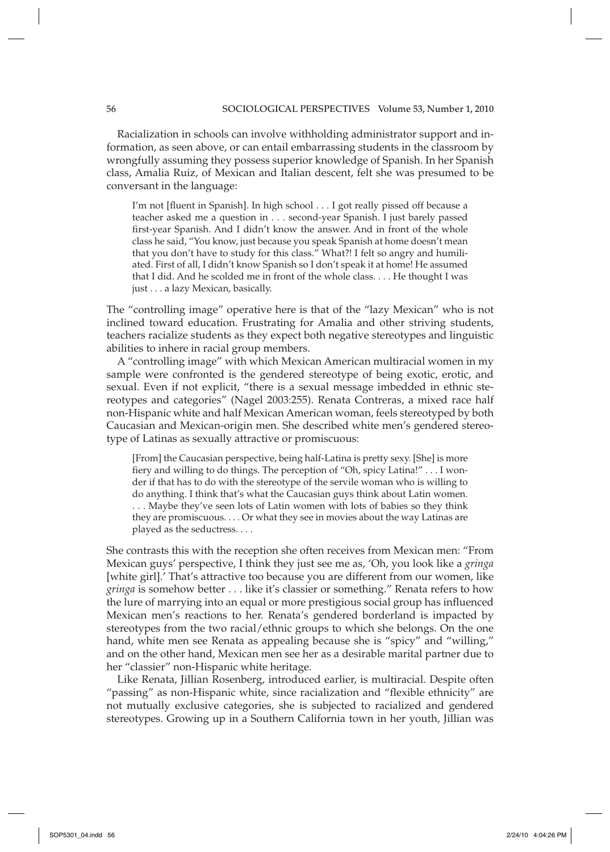Racialization in schools can involve withholding administrator support and information, as seen above, or can entail embarrassing students in the classroom by wrongfully assuming they possess superior knowledge of Spanish. In her Spanish class, Amalia Ruiz, of Mexican and Italian descent, felt she was presumed to be conversant in the language:

I'm not [fluent in Spanish]. In high school . . . I got really pissed off because a teacher asked me a question in . . . second-year Spanish. I just barely passed first-year Spanish. And I didn't know the answer. And in front of the whole class he said, "You know, just because you speak Spanish at home doesn't mean that you don't have to study for this class." What?! I felt so angry and humiliated. First of all, I didn't know Spanish so I don't speak it at home! He assumed that I did. And he scolded me in front of the whole class. . . . He thought I was just . . . a lazy Mexican, basically.

The "controlling image" operative here is that of the "lazy Mexican" who is not inclined toward education. Frustrating for Amalia and other striving students, teachers racialize students as they expect both negative stereotypes and linguistic abilities to inhere in racial group members.

A "controlling image" with which Mexican American multiracial women in my sample were confronted is the gendered stereotype of being exotic, erotic, and sexual. Even if not explicit, "there is a sexual message imbedded in ethnic stereotypes and categories" (Nagel 2003:255). Renata Contreras, a mixed race half non-Hispanic white and half Mexican American woman, feels stereotyped by both Caucasian and Mexican-origin men. She described white men's gendered stereotype of Latinas as sexually attractive or promiscuous:

[From] the Caucasian perspective, being half-Latina is pretty sexy. [She] is more fiery and willing to do things. The perception of "Oh, spicy Latina!" . . . I wonder if that has to do with the stereotype of the servile woman who is willing to do anything. I think that's what the Caucasian guys think about Latin women. . . . Maybe they've seen lots of Latin women with lots of babies so they think they are promiscuous. . . . Or what they see in movies about the way Latinas are played as the seductress. . . .

She contrasts this with the reception she often receives from Mexican men: "From Mexican guys' perspective, I think they just see me as, 'Oh, you look like a *gringa*  [white girl].' That's attractive too because you are different from our women, like *gringa* is somehow better . . . like it's classier or something." Renata refers to how the lure of marrying into an equal or more prestigious social group has influenced Mexican men's reactions to her. Renata's gendered borderland is impacted by stereotypes from the two racial/ethnic groups to which she belongs. On the one hand, white men see Renata as appealing because she is "spicy" and "willing," and on the other hand, Mexican men see her as a desirable marital partner due to her "classier" non-Hispanic white heritage.

Like Renata, Jillian Rosenberg, introduced earlier, is multiracial. Despite often "passing" as non-Hispanic white, since racialization and "flexible ethnicity" are not mutually exclusive categories, she is subjected to racialized and gendered stereotypes. Growing up in a Southern California town in her youth, Jillian was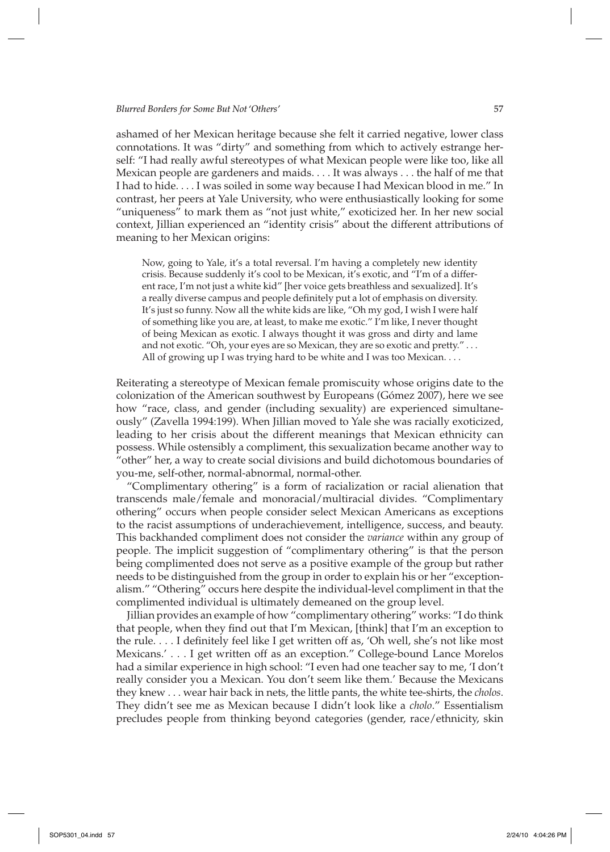ashamed of her Mexican heritage because she felt it carried negative, lower class connotations. It was "dirty" and something from which to actively estrange herself: "I had really awful stereotypes of what Mexican people were like too, like all Mexican people are gardeners and maids. . . . It was always . . . the half of me that I had to hide. . . . I was soiled in some way because I had Mexican blood in me." In contrast, her peers at Yale University, who were enthusiastically looking for some "uniqueness" to mark them as "not just white," exoticized her. In her new social context, Jillian experienced an "identity crisis" about the different attributions of meaning to her Mexican origins:

Now, going to Yale, it's a total reversal. I'm having a completely new identity crisis. Because suddenly it's cool to be Mexican, it's exotic, and "I'm of a different race, I'm not just a white kid" [her voice gets breathless and sexualized]. It's a really diverse campus and people definitely put a lot of emphasis on diversity. It's just so funny. Now all the white kids are like, "Oh my god, I wish I were half of something like you are, at least, to make me exotic." I'm like, I never thought of being Mexican as exotic. I always thought it was gross and dirty and lame and not exotic. "Oh, your eyes are so Mexican, they are so exotic and pretty." . . . All of growing up I was trying hard to be white and I was too Mexican...

Reiterating a stereotype of Mexican female promiscuity whose origins date to the colonization of the American southwest by Europeans (Gómez 2007), here we see how "race, class, and gender (including sexuality) are experienced simultaneously" (Zavella 1994:199). When Jillian moved to Yale she was racially exoticized, leading to her crisis about the different meanings that Mexican ethnicity can possess. While ostensibly a compliment, this sexualization became another way to "other" her, a way to create social divisions and build dichotomous boundaries of you-me, self-other, normal-abnormal, normal-other.

"Complimentary othering" is a form of racialization or racial alienation that transcends male/female and monoracial/multiracial divides. "Complimentary othering" occurs when people consider select Mexican Americans as exceptions to the racist assumptions of underachievement, intelligence, success, and beauty. This backhanded compliment does not consider the *variance* within any group of people. The implicit suggestion of "complimentary othering" is that the person being complimented does not serve as a positive example of the group but rather needs to be distinguished from the group in order to explain his or her "exceptionalism." "Othering" occurs here despite the individual-level compliment in that the complimented individual is ultimately demeaned on the group level.

Jillian provides an example of how "complimentary othering" works: "I do think that people, when they find out that I'm Mexican, [think] that I'm an exception to the rule. . . . I definitely feel like I get written off as, 'Oh well, she's not like most Mexicans.' . . . I get written off as an exception." College-bound Lance Morelos had a similar experience in high school: "I even had one teacher say to me, 'I don't really consider you a Mexican. You don't seem like them.' Because the Mexicans they knew . . . wear hair back in nets, the little pants, the white tee-shirts, the *cholos*. They didn't see me as Mexican because I didn't look like a *cholo*." Essentialism precludes people from thinking beyond categories (gender, race/ethnicity, skin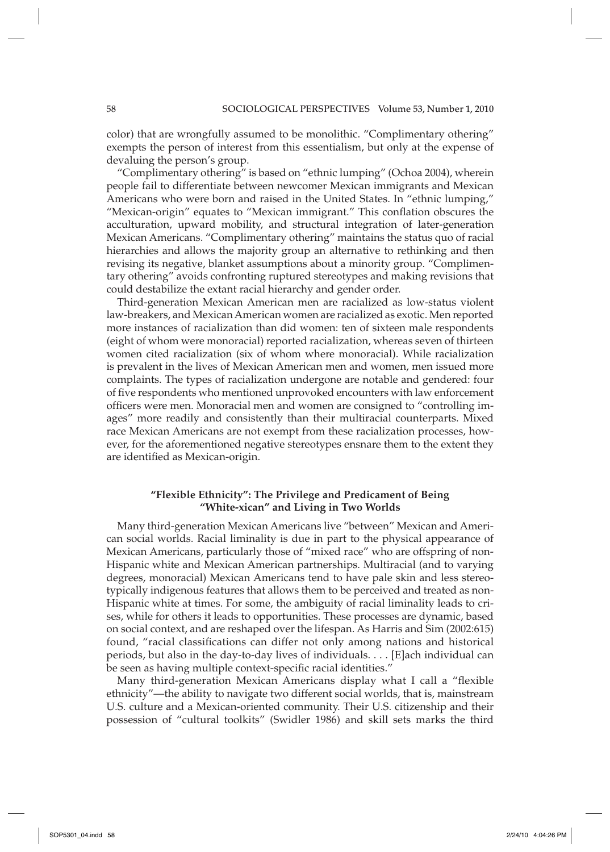color) that are wrongfully assumed to be monolithic. "Complimentary othering" exempts the person of interest from this essentialism, but only at the expense of devaluing the person's group.

"Complimentary othering" is based on "ethnic lumping" (Ochoa 2004), wherein people fail to differentiate between newcomer Mexican immigrants and Mexican Americans who were born and raised in the United States. In "ethnic lumping," "Mexican-origin" equates to "Mexican immigrant." This conflation obscures the acculturation, upward mobility, and structural integration of later-generation Mexican Americans. "Complimentary othering" maintains the status quo of racial hierarchies and allows the majority group an alternative to rethinking and then revising its negative, blanket assumptions about a minority group. "Complimentary othering" avoids confronting ruptured stereotypes and making revisions that could destabilize the extant racial hierarchy and gender order.

Third-generation Mexican American men are racialized as low-status violent law-breakers, and Mexican American women are racialized as exotic. Men reported more instances of racialization than did women: ten of sixteen male respondents (eight of whom were monoracial) reported racialization, whereas seven of thirteen women cited racialization (six of whom where monoracial). While racialization is prevalent in the lives of Mexican American men and women, men issued more complaints. The types of racialization undergone are notable and gendered: four of five respondents who mentioned unprovoked encounters with law enforcement officers were men. Monoracial men and women are consigned to "controlling images" more readily and consistently than their multiracial counterparts. Mixed race Mexican Americans are not exempt from these racialization processes, however, for the aforementioned negative stereotypes ensnare them to the extent they are identified as Mexican-origin.

# **"Flexible Ethnicity": The Privilege and Predicament of Being "White-xican" and Living in Two Worlds**

Many third-generation Mexican Americans live "between" Mexican and American social worlds. Racial liminality is due in part to the physical appearance of Mexican Americans, particularly those of "mixed race" who are offspring of non-Hispanic white and Mexican American partnerships. Multiracial (and to varying degrees, monoracial) Mexican Americans tend to have pale skin and less stereotypically indigenous features that allows them to be perceived and treated as non-Hispanic white at times. For some, the ambiguity of racial liminality leads to crises, while for others it leads to opportunities. These processes are dynamic, based on social context, and are reshaped over the lifespan. As Harris and Sim (2002:615) found, "racial classifications can differ not only among nations and historical periods, but also in the day-to-day lives of individuals. . . . [E]ach individual can be seen as having multiple context-specific racial identities."

Many third-generation Mexican Americans display what I call a "flexible ethnicity"—the ability to navigate two different social worlds, that is, mainstream U.S. culture and a Mexican-oriented community. Their U.S. citizenship and their possession of "cultural toolkits" (Swidler 1986) and skill sets marks the third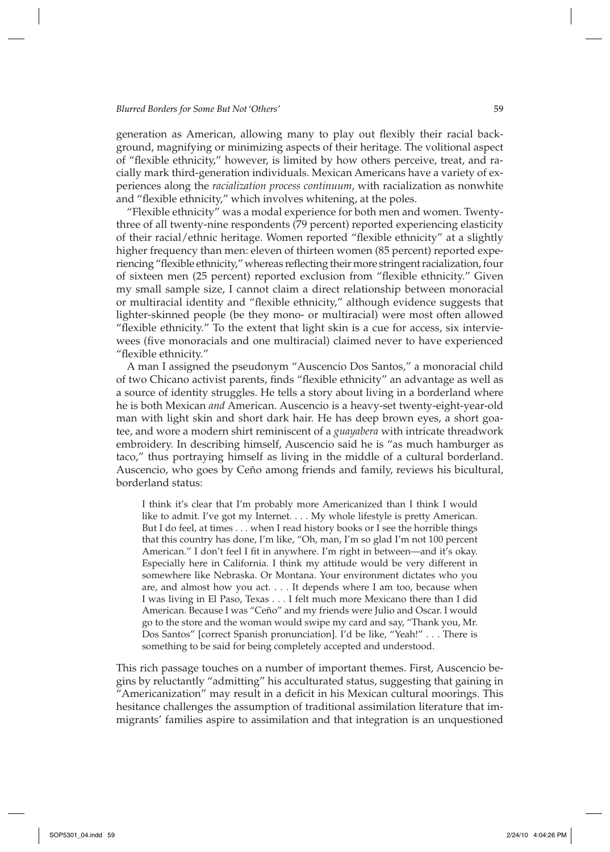generation as American, allowing many to play out flexibly their racial background, magnifying or minimizing aspects of their heritage. The volitional aspect of "flexible ethnicity," however, is limited by how others perceive, treat, and racially mark third-generation individuals. Mexican Americans have a variety of experiences along the *racialization process continuum*, with racialization as nonwhite and "flexible ethnicity," which involves whitening, at the poles.

"Flexible ethnicity" was a modal experience for both men and women. Twentythree of all twenty-nine respondents (79 percent) reported experiencing elasticity of their racial/ethnic heritage. Women reported "flexible ethnicity" at a slightly higher frequency than men: eleven of thirteen women (85 percent) reported experiencing "flexible ethnicity," whereas reflecting their more stringent racialization, four of sixteen men (25 percent) reported exclusion from "flexible ethnicity." Given my small sample size, I cannot claim a direct relationship between monoracial or multiracial identity and "flexible ethnicity," although evidence suggests that lighter-skinned people (be they mono- or multiracial) were most often allowed "flexible ethnicity." To the extent that light skin is a cue for access, six interviewees (five monoracials and one multiracial) claimed never to have experienced "flexible ethnicity."

A man I assigned the pseudonym "Auscencio Dos Santos," a monoracial child of two Chicano activist parents, finds "flexible ethnicity" an advantage as well as a source of identity struggles. He tells a story about living in a borderland where he is both Mexican *and* American. Auscencio is a heavy-set twenty-eight-year-old man with light skin and short dark hair. He has deep brown eyes, a short goatee, and wore a modern shirt reminiscent of a *guayabera* with intricate threadwork embroidery. In describing himself, Auscencio said he is "as much hamburger as taco," thus portraying himself as living in the middle of a cultural borderland. Auscencio, who goes by Ceño among friends and family, reviews his bicultural, borderland status:

I think it's clear that I'm probably more Americanized than I think I would like to admit. I've got my Internet. . . . My whole lifestyle is pretty American. But I do feel, at times . . . when I read history books or I see the horrible things that this country has done, I'm like, "Oh, man, I'm so glad I'm not 100 percent American." I don't feel I fit in anywhere. I'm right in between—and it's okay. Especially here in California. I think my attitude would be very different in somewhere like Nebraska. Or Montana. Your environment dictates who you are, and almost how you act. . . . It depends where I am too, because when I was living in El Paso, Texas . . . I felt much more Mexicano there than I did American. Because I was "Ceño" and my friends were Julio and Oscar. I would go to the store and the woman would swipe my card and say, "Thank you, Mr. Dos Santos" [correct Spanish pronunciation]. I'd be like, "Yeah!" . . . There is something to be said for being completely accepted and understood.

This rich passage touches on a number of important themes. First, Auscencio begins by reluctantly "admitting" his acculturated status, suggesting that gaining in "Americanization" may result in a deficit in his Mexican cultural moorings. This hesitance challenges the assumption of traditional assimilation literature that immigrants' families aspire to assimilation and that integration is an unquestioned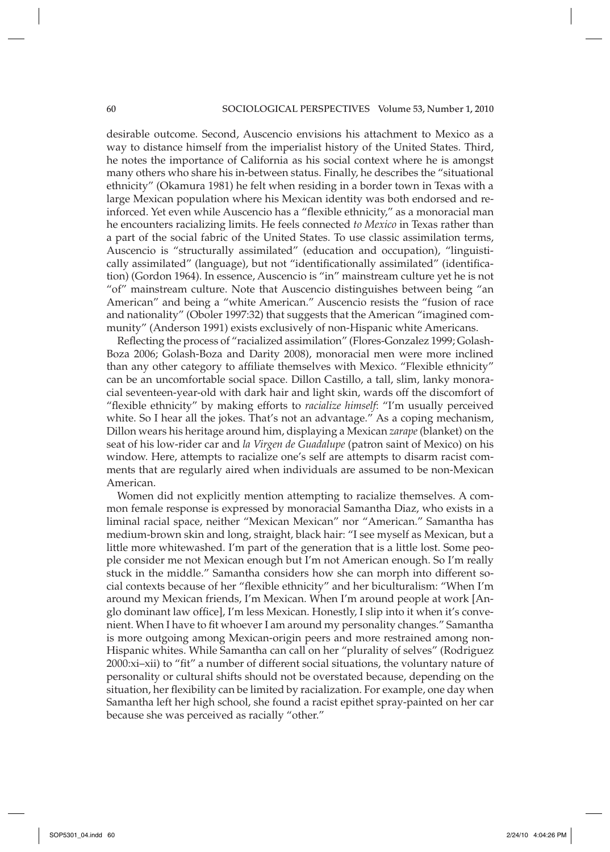desirable outcome. Second, Auscencio envisions his attachment to Mexico as a way to distance himself from the imperialist history of the United States. Third, he notes the importance of California as his social context where he is amongst many others who share his in-between status. Finally, he describes the "situational ethnicity" (Okamura 1981) he felt when residing in a border town in Texas with a large Mexican population where his Mexican identity was both endorsed and reinforced. Yet even while Auscencio has a "flexible ethnicity," as a monoracial man he encounters racializing limits. He feels connected *to Mexico* in Texas rather than a part of the social fabric of the United States. To use classic assimilation terms, Auscencio is "structurally assimilated" (education and occupation), "linguistically assimilated" (language), but not "identificationally assimilated" (identification) (Gordon 1964). In essence, Auscencio is "in" mainstream culture yet he is not "of" mainstream culture. Note that Auscencio distinguishes between being "an American" and being a "white American." Auscencio resists the "fusion of race and nationality" (Oboler 1997:32) that suggests that the American "imagined community" (Anderson 1991) exists exclusively of non-Hispanic white Americans.

Reflecting the process of "racialized assimilation" (Flores-Gonzalez 1999; Golash-Boza 2006; Golash-Boza and Darity 2008), monoracial men were more inclined than any other category to affiliate themselves with Mexico. "Flexible ethnicity" can be an uncomfortable social space. Dillon Castillo, a tall, slim, lanky monoracial seventeen-year-old with dark hair and light skin, wards off the discomfort of "flexible ethnicity" by making efforts to *racialize himself*: "I'm usually perceived white. So I hear all the jokes. That's not an advantage." As a coping mechanism, Dillon wears his heritage around him, displaying a Mexican *zarape* (blanket) on the seat of his low-rider car and *la Virgen de Guadalupe* (patron saint of Mexico) on his window. Here, attempts to racialize one's self are attempts to disarm racist comments that are regularly aired when individuals are assumed to be non-Mexican American.

Women did not explicitly mention attempting to racialize themselves. A common female response is expressed by monoracial Samantha Diaz, who exists in a liminal racial space, neither "Mexican Mexican" nor "American." Samantha has medium-brown skin and long, straight, black hair: "I see myself as Mexican, but a little more whitewashed. I'm part of the generation that is a little lost. Some people consider me not Mexican enough but I'm not American enough. So I'm really stuck in the middle." Samantha considers how she can morph into different social contexts because of her "flexible ethnicity" and her biculturalism: "When I'm around my Mexican friends, I'm Mexican. When I'm around people at work [Anglo dominant law office], I'm less Mexican. Honestly, I slip into it when it's convenient. When I have to fit whoever I am around my personality changes." Samantha is more outgoing among Mexican-origin peers and more restrained among non-Hispanic whites. While Samantha can call on her "plurality of selves" (Rodriguez 2000:xi–xii) to "fit" a number of different social situations, the voluntary nature of personality or cultural shifts should not be overstated because, depending on the situation, her flexibility can be limited by racialization. For example, one day when Samantha left her high school, she found a racist epithet spray-painted on her car because she was perceived as racially "other."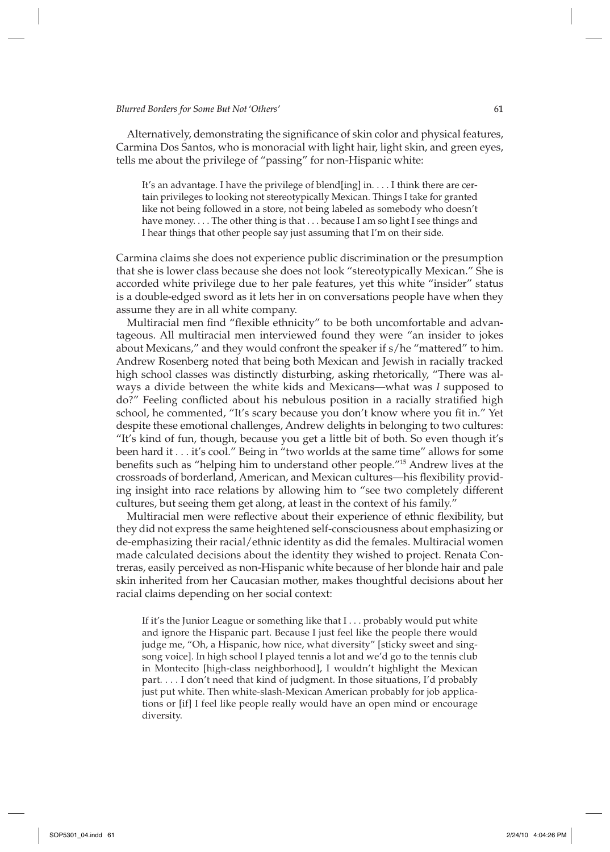Alternatively, demonstrating the significance of skin color and physical features, Carmina Dos Santos, who is monoracial with light hair, light skin, and green eyes, tells me about the privilege of "passing" for non-Hispanic white:

It's an advantage. I have the privilege of blend[ing] in. . . . I think there are certain privileges to looking not stereotypically Mexican. Things I take for granted like not being followed in a store, not being labeled as somebody who doesn't have money.... The other thing is that ... because I am so light I see things and I hear things that other people say just assuming that I'm on their side.

Carmina claims she does not experience public discrimination or the presumption that she is lower class because she does not look "stereotypically Mexican." She is accorded white privilege due to her pale features, yet this white "insider" status is a double-edged sword as it lets her in on conversations people have when they assume they are in all white company.

Multiracial men find "flexible ethnicity" to be both uncomfortable and advantageous. All multiracial men interviewed found they were "an insider to jokes about Mexicans," and they would confront the speaker if s/he "mattered" to him. Andrew Rosenberg noted that being both Mexican and Jewish in racially tracked high school classes was distinctly disturbing, asking rhetorically, "There was always a divide between the white kids and Mexicans—what was *I* supposed to do?" Feeling conflicted about his nebulous position in a racially stratified high school, he commented, "It's scary because you don't know where you fit in." Yet despite these emotional challenges, Andrew delights in belonging to two cultures: "It's kind of fun, though, because you get a little bit of both. So even though it's been hard it . . . it's cool." Being in "two worlds at the same time" allows for some benefits such as "helping him to understand other people."15 Andrew lives at the crossroads of borderland, American, and Mexican cultures—his flexibility providing insight into race relations by allowing him to "see two completely different cultures, but seeing them get along, at least in the context of his family."

Multiracial men were reflective about their experience of ethnic flexibility, but they did not express the same heightened self-consciousness about emphasizing or de-emphasizing their racial/ethnic identity as did the females. Multiracial women made calculated decisions about the identity they wished to project. Renata Contreras, easily perceived as non-Hispanic white because of her blonde hair and pale skin inherited from her Caucasian mother, makes thoughtful decisions about her racial claims depending on her social context:

If it's the Junior League or something like that I . . . probably would put white and ignore the Hispanic part. Because I just feel like the people there would judge me, "Oh, a Hispanic, how nice, what diversity" [sticky sweet and singsong voice]. In high school I played tennis a lot and we'd go to the tennis club in Montecito [high-class neighborhood], I wouldn't highlight the Mexican part. . . . I don't need that kind of judgment. In those situations, I'd probably just put white. Then white-slash-Mexican American probably for job applications or [if] I feel like people really would have an open mind or encourage diversity.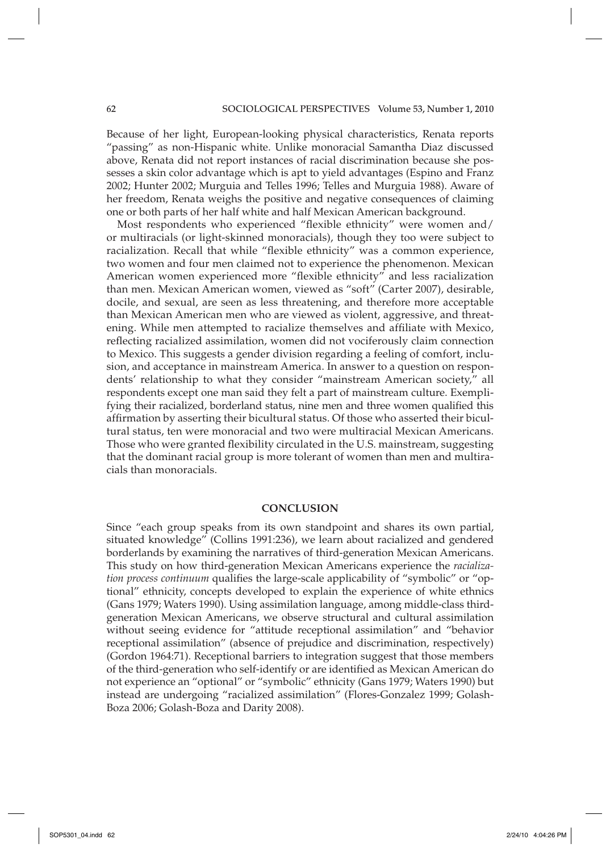Because of her light, European-looking physical characteristics, Renata reports "passing" as non-Hispanic white. Unlike monoracial Samantha Diaz discussed above, Renata did not report instances of racial discrimination because she possesses a skin color advantage which is apt to yield advantages (Espino and Franz 2002; Hunter 2002; Murguia and Telles 1996; Telles and Murguia 1988). Aware of her freedom, Renata weighs the positive and negative consequences of claiming one or both parts of her half white and half Mexican American background.

Most respondents who experienced "flexible ethnicity" were women and/ or multiracials (or light-skinned monoracials), though they too were subject to racialization. Recall that while "flexible ethnicity" was a common experience, two women and four men claimed not to experience the phenomenon. Mexican American women experienced more "flexible ethnicity" and less racialization than men. Mexican American women, viewed as "soft" (Carter 2007), desirable, docile, and sexual, are seen as less threatening, and therefore more acceptable than Mexican American men who are viewed as violent, aggressive, and threatening. While men attempted to racialize themselves and affiliate with Mexico, reflecting racialized assimilation, women did not vociferously claim connection to Mexico. This suggests a gender division regarding a feeling of comfort, inclusion, and acceptance in mainstream America. In answer to a question on respondents' relationship to what they consider "mainstream American society," all respondents except one man said they felt a part of mainstream culture. Exemplifying their racialized, borderland status, nine men and three women qualified this affirmation by asserting their bicultural status. Of those who asserted their bicultural status, ten were monoracial and two were multiracial Mexican Americans. Those who were granted flexibility circulated in the U.S. mainstream, suggesting that the dominant racial group is more tolerant of women than men and multiracials than monoracials.

### **CONCLUSION**

Since "each group speaks from its own standpoint and shares its own partial, situated knowledge" (Collins 1991:236), we learn about racialized and gendered borderlands by examining the narratives of third-generation Mexican Americans. This study on how third-generation Mexican Americans experience the *racialization process continuum* qualifies the large-scale applicability of "symbolic" or "optional" ethnicity, concepts developed to explain the experience of white ethnics (Gans 1979; Waters 1990). Using assimilation language, among middle-class thirdgeneration Mexican Americans, we observe structural and cultural assimilation without seeing evidence for "attitude receptional assimilation" and "behavior receptional assimilation" (absence of prejudice and discrimination, respectively) (Gordon 1964:71). Receptional barriers to integration suggest that those members of the third-generation who self-identify or are identified as Mexican American do not experience an "optional" or "symbolic" ethnicity (Gans 1979; Waters 1990) but instead are undergoing "racialized assimilation" (Flores-Gonzalez 1999; Golash-Boza 2006; Golash-Boza and Darity 2008).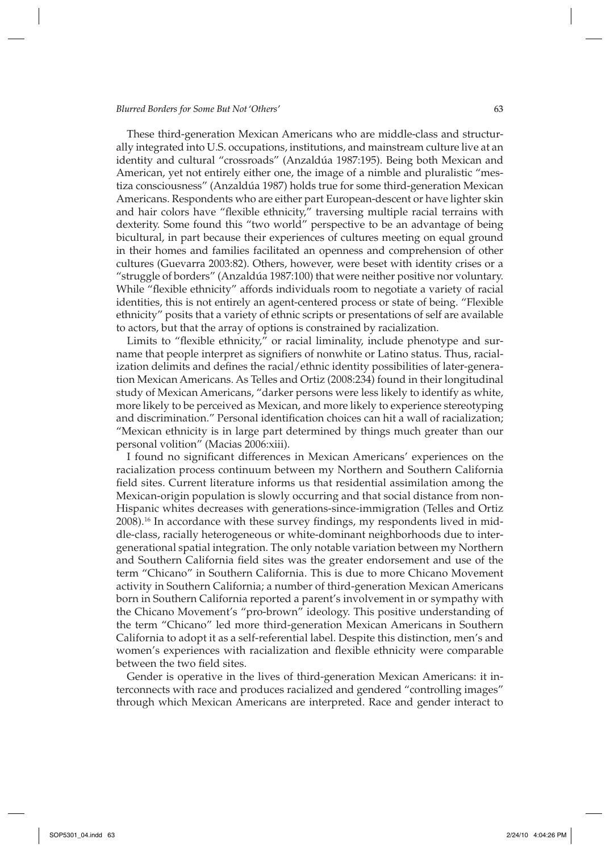These third-generation Mexican Americans who are middle-class and structurally integrated into U.S. occupations, institutions, and mainstream culture live at an identity and cultural "crossroads" (Anzaldúa 1987:195). Being both Mexican and American, yet not entirely either one, the image of a nimble and pluralistic "mestiza consciousness" (Anzaldúa 1987) holds true for some third-generation Mexican Americans. Respondents who are either part European-descent or have lighter skin and hair colors have "flexible ethnicity," traversing multiple racial terrains with dexterity. Some found this "two world" perspective to be an advantage of being bicultural, in part because their experiences of cultures meeting on equal ground in their homes and families facilitated an openness and comprehension of other cultures (Guevarra 2003:82). Others, however, were beset with identity crises or a "struggle of borders" (Anzaldúa 1987:100) that were neither positive nor voluntary. While "flexible ethnicity" affords individuals room to negotiate a variety of racial identities, this is not entirely an agent-centered process or state of being. "Flexible ethnicity" posits that a variety of ethnic scripts or presentations of self are available to actors, but that the array of options is constrained by racialization.

Limits to "flexible ethnicity," or racial liminality, include phenotype and surname that people interpret as signifiers of nonwhite or Latino status. Thus, racialization delimits and defines the racial/ethnic identity possibilities of later-generation Mexican Americans. As Telles and Ortiz (2008:234) found in their longitudinal study of Mexican Americans, "darker persons were less likely to identify as white, more likely to be perceived as Mexican, and more likely to experience stereotyping and discrimination." Personal identification choices can hit a wall of racialization; "Mexican ethnicity is in large part determined by things much greater than our personal volition" (Macias 2006:xiii).

I found no significant differences in Mexican Americans' experiences on the racialization process continuum between my Northern and Southern California field sites. Current literature informs us that residential assimilation among the Mexican-origin population is slowly occurring and that social distance from non-Hispanic whites decreases with generations-since-immigration (Telles and Ortiz 2008).16 In accordance with these survey findings, my respondents lived in middle-class, racially heterogeneous or white-dominant neighborhoods due to intergenerational spatial integration. The only notable variation between my Northern and Southern California field sites was the greater endorsement and use of the term "Chicano" in Southern California. This is due to more Chicano Movement activity in Southern California; a number of third-generation Mexican Americans born in Southern California reported a parent's involvement in or sympathy with the Chicano Movement's "pro-brown" ideology. This positive understanding of the term "Chicano" led more third-generation Mexican Americans in Southern California to adopt it as a self-referential label. Despite this distinction, men's and women's experiences with racialization and flexible ethnicity were comparable between the two field sites.

Gender is operative in the lives of third-generation Mexican Americans: it interconnects with race and produces racialized and gendered "controlling images" through which Mexican Americans are interpreted. Race and gender interact to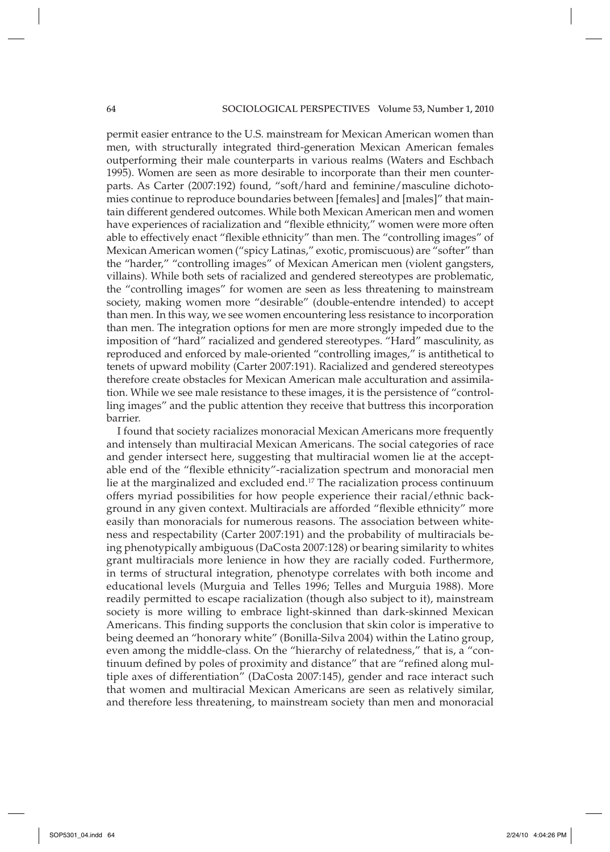permit easier entrance to the U.S. mainstream for Mexican American women than men, with structurally integrated third-generation Mexican American females outperforming their male counterparts in various realms (Waters and Eschbach 1995). Women are seen as more desirable to incorporate than their men counterparts. As Carter (2007:192) found, "soft/hard and feminine/masculine dichotomies continue to reproduce boundaries between [females] and [males]" that maintain different gendered outcomes. While both Mexican American men and women have experiences of racialization and "flexible ethnicity," women were more often able to effectively enact "flexible ethnicity" than men. The "controlling images" of Mexican American women ("spicy Latinas," exotic, promiscuous) are "softer" than the "harder," "controlling images" of Mexican American men (violent gangsters, villains). While both sets of racialized and gendered stereotypes are problematic, the "controlling images" for women are seen as less threatening to mainstream society, making women more "desirable" (double-entendre intended) to accept than men. In this way, we see women encountering less resistance to incorporation than men. The integration options for men are more strongly impeded due to the imposition of "hard" racialized and gendered stereotypes. "Hard" masculinity, as reproduced and enforced by male-oriented "controlling images," is antithetical to tenets of upward mobility (Carter 2007:191). Racialized and gendered stereotypes therefore create obstacles for Mexican American male acculturation and assimilation. While we see male resistance to these images, it is the persistence of "controlling images" and the public attention they receive that buttress this incorporation barrier.

I found that society racializes monoracial Mexican Americans more frequently and intensely than multiracial Mexican Americans. The social categories of race and gender intersect here, suggesting that multiracial women lie at the acceptable end of the "flexible ethnicity"-racialization spectrum and monoracial men lie at the marginalized and excluded end.<sup>17</sup> The racialization process continuum offers myriad possibilities for how people experience their racial/ethnic background in any given context. Multiracials are afforded "flexible ethnicity" more easily than monoracials for numerous reasons. The association between whiteness and respectability (Carter 2007:191) and the probability of multiracials being phenotypically ambiguous (DaCosta 2007:128) or bearing similarity to whites grant multiracials more lenience in how they are racially coded. Furthermore, in terms of structural integration, phenotype correlates with both income and educational levels (Murguia and Telles 1996; Telles and Murguia 1988). More readily permitted to escape racialization (though also subject to it), mainstream society is more willing to embrace light-skinned than dark-skinned Mexican Americans. This finding supports the conclusion that skin color is imperative to being deemed an "honorary white" (Bonilla-Silva 2004) within the Latino group, even among the middle-class. On the "hierarchy of relatedness," that is, a "continuum defined by poles of proximity and distance" that are "refined along multiple axes of differentiation" (DaCosta 2007:145), gender and race interact such that women and multiracial Mexican Americans are seen as relatively similar, and therefore less threatening, to mainstream society than men and monoracial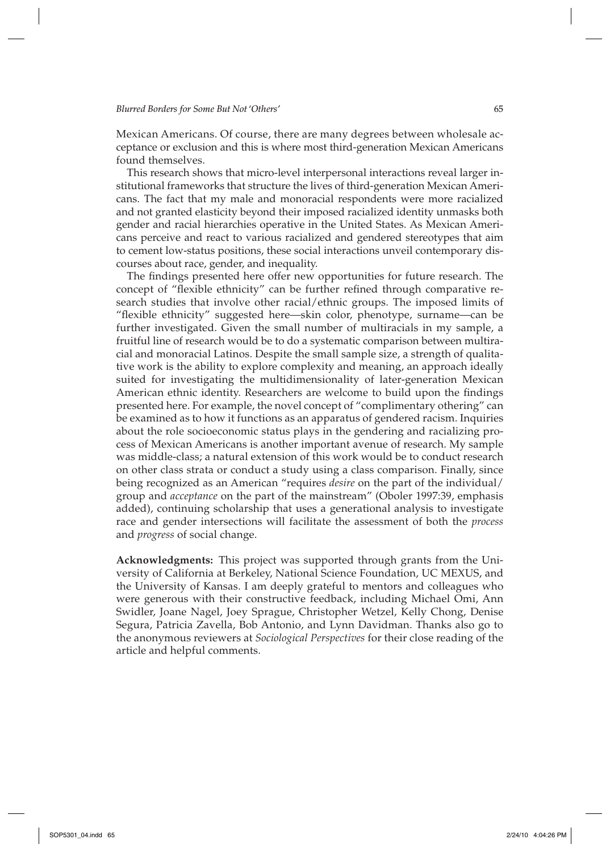Mexican Americans. Of course, there are many degrees between wholesale acceptance or exclusion and this is where most third-generation Mexican Americans found themselves.

This research shows that micro-level interpersonal interactions reveal larger institutional frameworks that structure the lives of third-generation Mexican Americans. The fact that my male and monoracial respondents were more racialized and not granted elasticity beyond their imposed racialized identity unmasks both gender and racial hierarchies operative in the United States. As Mexican Americans perceive and react to various racialized and gendered stereotypes that aim to cement low-status positions, these social interactions unveil contemporary discourses about race, gender, and inequality.

The findings presented here offer new opportunities for future research. The concept of "flexible ethnicity" can be further refined through comparative research studies that involve other racial/ethnic groups. The imposed limits of "flexible ethnicity" suggested here—skin color, phenotype, surname—can be further investigated. Given the small number of multiracials in my sample, a fruitful line of research would be to do a systematic comparison between multiracial and monoracial Latinos. Despite the small sample size, a strength of qualitative work is the ability to explore complexity and meaning, an approach ideally suited for investigating the multidimensionality of later-generation Mexican American ethnic identity. Researchers are welcome to build upon the findings presented here. For example, the novel concept of "complimentary othering" can be examined as to how it functions as an apparatus of gendered racism. Inquiries about the role socioeconomic status plays in the gendering and racializing process of Mexican Americans is another important avenue of research. My sample was middle-class; a natural extension of this work would be to conduct research on other class strata or conduct a study using a class comparison. Finally, since being recognized as an American "requires *desire* on the part of the individual/ group and *acceptance* on the part of the mainstream" (Oboler 1997:39, emphasis added), continuing scholarship that uses a generational analysis to investigate race and gender intersections will facilitate the assessment of both the *process* and *progress* of social change.

**Acknowledgments:** This project was supported through grants from the University of California at Berkeley, National Science Foundation, UC MEXUS, and the University of Kansas. I am deeply grateful to mentors and colleagues who were generous with their constructive feedback, including Michael Omi, Ann Swidler, Joane Nagel, Joey Sprague, Christopher Wetzel, Kelly Chong, Denise Segura, Patricia Zavella, Bob Antonio, and Lynn Davidman. Thanks also go to the anonymous reviewers at *Sociological Perspectives* for their close reading of the article and helpful comments.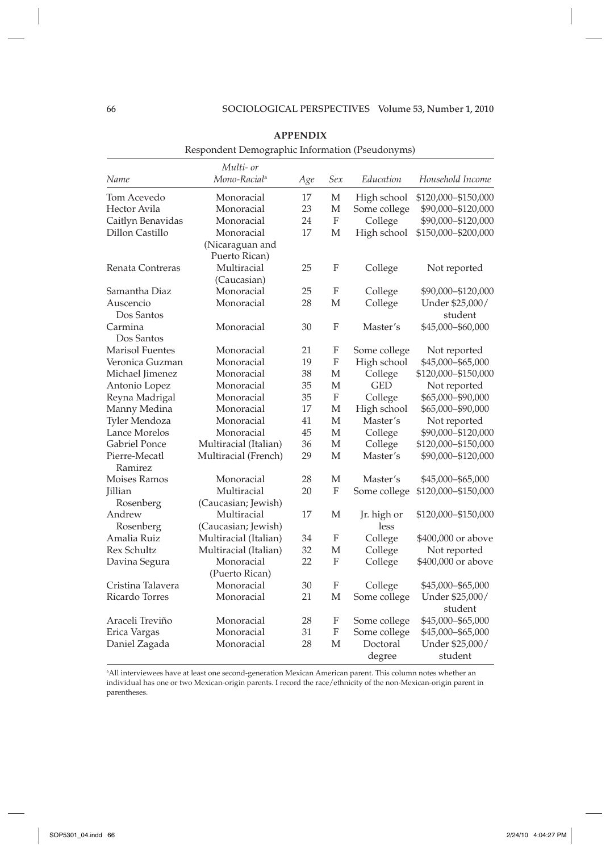|                        | Multi- or                |     |                           |              |                     |
|------------------------|--------------------------|-----|---------------------------|--------------|---------------------|
| Name                   | Mono-Racial <sup>a</sup> | Age | Sex                       | Education    | Household Income    |
| Tom Acevedo            | Monoracial               | 17  | M                         | High school  | \$120,000-\$150,000 |
| Hector Avila           | Monoracial               | 23  | M                         | Some college | \$90,000-\$120,000  |
| Caitlyn Benavidas      | Monoracial               | 24  | F                         | College      | \$90,000-\$120,000  |
| Dillon Castillo        | Monoracial               | 17  | $\mathbf M$               | High school  | \$150,000-\$200,000 |
|                        | (Nicaraguan and          |     |                           |              |                     |
|                        | Puerto Rican)            |     |                           |              |                     |
| Renata Contreras       | Multiracial              | 25  | F                         | College      | Not reported        |
|                        | (Caucasian)              |     |                           |              |                     |
| Samantha Diaz          | Monoracial               | 25  | F                         | College      | \$90,000-\$120,000  |
| Auscencio              | Monoracial               | 28  | М                         | College      | Under \$25,000/     |
| Dos Santos             |                          |     |                           |              | student             |
| Carmina                | Monoracial               | 30  | F                         | Master's     | \$45,000-\$60,000   |
| Dos Santos             |                          |     |                           |              |                     |
| <b>Marisol Fuentes</b> | Monoracial               | 21  | F                         | Some college | Not reported        |
| Veronica Guzman        | Monoracial               | 19  | F                         | High school  | \$45,000-\$65,000   |
| Michael Jimenez        | Monoracial               | 38  | M                         | College      | \$120,000-\$150,000 |
| Antonio Lopez          | Monoracial               | 35  | М                         | <b>GED</b>   | Not reported        |
| Reyna Madrigal         | Monoracial               | 35  | $\boldsymbol{\mathrm{F}}$ | College      | \$65,000-\$90,000   |
| Manny Medina           | Monoracial               | 17  | М                         | High school  | \$65,000-\$90,000   |
| <b>Tyler Mendoza</b>   | Monoracial               | 41  | M                         | Master's     | Not reported        |
| Lance Morelos          | Monoracial               | 45  | M                         | College      | \$90,000-\$120,000  |
| <b>Gabriel Ponce</b>   | Multiracial (Italian)    | 36  | M                         | College      | \$120,000-\$150,000 |
| Pierre-Mecatl          | Multiracial (French)     | 29  | M                         | Master's     | \$90,000–\$120,000  |
| Ramirez                |                          |     |                           |              |                     |
| Moises Ramos           | Monoracial               | 28  | М                         | Master's     | \$45,000-\$65,000   |
| Jillian                | Multiracial              | 20  | $\rm F$                   | Some college | \$120,000-\$150,000 |
| Rosenberg              | (Caucasian; Jewish)      |     |                           |              |                     |
| Andrew                 | Multiracial              | 17  | М                         | Jr. high or  | \$120,000-\$150,000 |
| Rosenberg              | (Caucasian; Jewish)      |     |                           | less         |                     |
| Amalia Ruiz            | Multiracial (Italian)    | 34  | F                         | College      | \$400,000 or above  |
| Rex Schultz            | Multiracial (Italian)    | 32  | M                         | College      | Not reported        |
| Davina Segura          | Monoracial               | 22  | F                         | College      | \$400,000 or above  |
|                        | (Puerto Rican)           |     |                           |              |                     |
| Cristina Talavera      | Monoracial               | 30  | F                         | College      | \$45,000-\$65,000   |
| Ricardo Torres         | Monoracial               | 21  | М                         | Some college | Under \$25,000/     |
|                        |                          |     |                           |              | student             |
| Araceli Treviño        | Monoracial               | 28  | $\boldsymbol{F}$          | Some college | \$45,000-\$65,000   |
| Erica Vargas           | Monoracial               | 31  | $\mathbf F$               | Some college | \$45,000-\$65,000   |
| Daniel Zagada          | Monoracial               | 28  | M                         | Doctoral     | Under \$25,000/     |
|                        |                          |     |                           | degree       | student             |

## **APPENDIX**

Respondent Demographic Information (Pseudonyms)

a All interviewees have at least one second-generation Mexican American parent. This column notes whether an individual has one or two Mexican-origin parents. I record the race/ethnicity of the non-Mexican-origin parent in parentheses.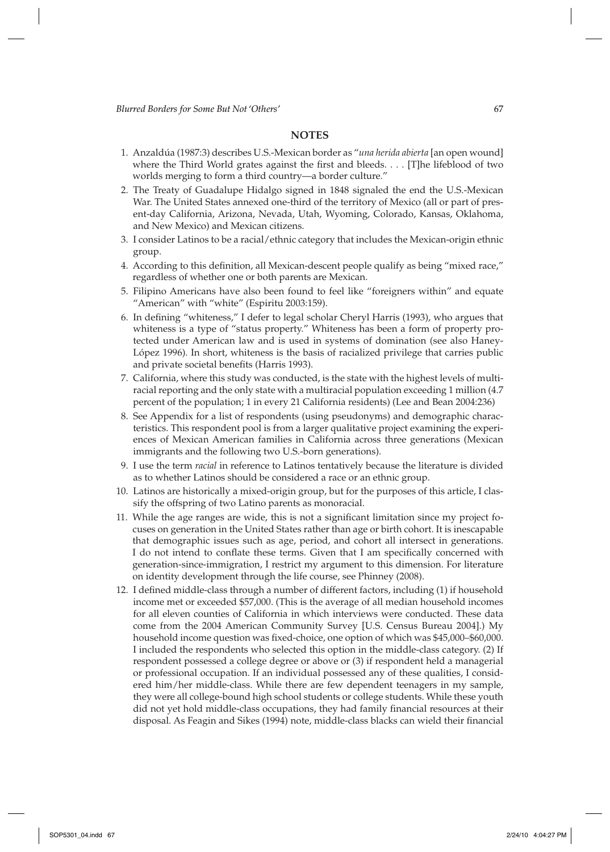### **NOTES**

- 1. Anzaldúa (1987:3) describes U.S.-Mexican border as "*una herida abierta* [an open wound] where the Third World grates against the first and bleeds. . . . [T]he lifeblood of two worlds merging to form a third country—a border culture."
- 2. The Treaty of Guadalupe Hidalgo signed in 1848 signaled the end the U.S.-Mexican War. The United States annexed one-third of the territory of Mexico (all or part of present-day California, Arizona, Nevada, Utah, Wyoming, Colorado, Kansas, Oklahoma, and New Mexico) and Mexican citizens.
- 3. I consider Latinos to be a racial/ethnic category that includes the Mexican-origin ethnic group.
- 4. According to this definition, all Mexican-descent people qualify as being "mixed race," regardless of whether one or both parents are Mexican.
- 5. Filipino Americans have also been found to feel like "foreigners within" and equate "American" with "white" (Espiritu 2003:159).
- 6. In defining "whiteness," I defer to legal scholar Cheryl Harris (1993), who argues that whiteness is a type of "status property." Whiteness has been a form of property protected under American law and is used in systems of domination (see also Haney-López 1996). In short, whiteness is the basis of racialized privilege that carries public and private societal benefits (Harris 1993).
- 7. California, where this study was conducted, is the state with the highest levels of multiracial reporting and the only state with a multiracial population exceeding 1 million (4.7 percent of the population; 1 in every 21 California residents) (Lee and Bean 2004:236)
- 8. See Appendix for a list of respondents (using pseudonyms) and demographic characteristics. This respondent pool is from a larger qualitative project examining the experiences of Mexican American families in California across three generations (Mexican immigrants and the following two U.S.-born generations).
- 9. I use the term *racial* in reference to Latinos tentatively because the literature is divided as to whether Latinos should be considered a race or an ethnic group.
- 10. Latinos are historically a mixed-origin group, but for the purposes of this article, I classify the offspring of two Latino parents as monoracial.
- 11. While the age ranges are wide, this is not a significant limitation since my project focuses on generation in the United States rather than age or birth cohort. It is inescapable that demographic issues such as age, period, and cohort all intersect in generations. I do not intend to conflate these terms. Given that I am specifically concerned with generation-since-immigration, I restrict my argument to this dimension. For literature on identity development through the life course, see Phinney (2008).
- 12. I defined middle-class through a number of different factors, including (1) if household income met or exceeded \$57,000. (This is the average of all median household incomes for all eleven counties of California in which interviews were conducted. These data come from the 2004 American Community Survey [U.S. Census Bureau 2004].) My household income question was fixed-choice, one option of which was \$45,000–\$60,000. I included the respondents who selected this option in the middle-class category. (2) If respondent possessed a college degree or above or (3) if respondent held a managerial or professional occupation. If an individual possessed any of these qualities, I considered him/her middle-class. While there are few dependent teenagers in my sample, they were all college-bound high school students or college students. While these youth did not yet hold middle-class occupations, they had family financial resources at their disposal. As Feagin and Sikes (1994) note, middle-class blacks can wield their financial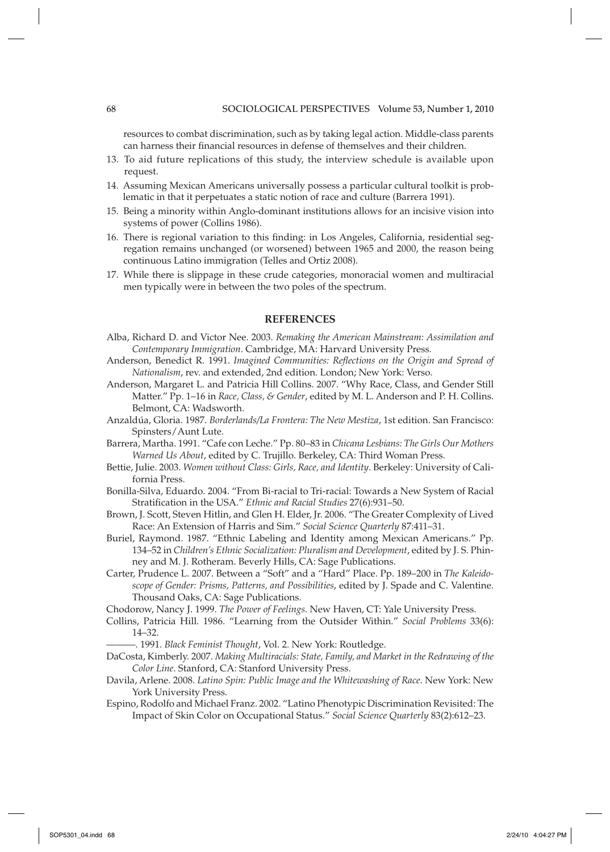resources to combat discrimination, such as by taking legal action. Middle-class parents can harness their financial resources in defense of themselves and their children.

- 13. To aid future replications of this study, the interview schedule is available upon request.
- 14. Assuming Mexican Americans universally possess a particular cultural toolkit is problematic in that it perpetuates a static notion of race and culture (Barrera 1991).
- 15. Being a minority within Anglo-dominant institutions allows for an incisive vision into systems of power (Collins 1986).
- 16. There is regional variation to this finding: in Los Angeles, California, residential segregation remains unchanged (or worsened) between 1965 and 2000, the reason being continuous Latino immigration (Telles and Ortiz 2008).
- 17. While there is slippage in these crude categories, monoracial women and multiracial men typically were in between the two poles of the spectrum.

### **REFERENCES**

- Alba, Richard D. and Victor Nee. 2003. *Remaking the American Mainstream: Assimilation and Contemporary Immigration*. Cambridge, MA: Harvard University Press.
- Anderson, Benedict R. 1991. *Imagined Communities: Reflections on the Origin and Spread of Nationalism*, rev. and extended, 2nd edition. London; New York: Verso.
- Anderson, Margaret L. and Patricia Hill Collins. 2007. "Why Race, Class, and Gender Still Matter." Pp. 1–16 in *Race, Class, & Gender*, edited by M. L. Anderson and P. H. Collins. Belmont, CA: Wadsworth.
- Anzaldúa, Gloria. 1987. *Borderlands/La Frontera: The New Mestiza*, 1st edition. San Francisco: Spinsters/Aunt Lute.
- Barrera, Martha. 1991. "Cafe con Leche." Pp. 80–83 in *Chicana Lesbians: The Girls Our Mothers Warned Us About*, edited by C. Trujillo. Berkeley, CA: Third Woman Press.
- Bettie, Julie. 2003. *Women without Class: Girls, Race, and Identity*. Berkeley: University of California Press.
- Bonilla-Silva, Eduardo. 2004. "From Bi-racial to Tri-racial: Towards a New System of Racial Stratification in the USA." *Ethnic and Racial Studies* 27(6):931–50.
- Brown, J. Scott, Steven Hitlin, and Glen H. Elder, Jr. 2006. "The Greater Complexity of Lived Race: An Extension of Harris and Sim." *Social Science Quarterly* 87:411–31.
- Buriel, Raymond. 1987. "Ethnic Labeling and Identity among Mexican Americans." Pp. 134–52 in *Children's Ethnic Socialization: Pluralism and Development*, edited by J. S. Phinney and M. J. Rotheram. Beverly Hills, CA: Sage Publications.
- Carter, Prudence L. 2007. Between a "Soft" and a "Hard" Place. Pp. 189–200 in *The Kaleidoscope of Gender: Prisms, Patterns, and Possibilities*, edited by J. Spade and C. Valentine. Thousand Oaks, CA: Sage Publications.
- Chodorow, Nancy J. 1999. *The Power of Feelings*. New Haven, CT: Yale University Press.
- Collins, Patricia Hill. 1986. "Learning from the Outsider Within." *Social Problems* 33(6): 14–32.
	- ———. 1991. *Black Feminist Thought*, Vol. 2. New York: Routledge.
- DaCosta, Kimberly. 2007. *Making Multiracials: State, Family, and Market in the Redrawing of the Color Line*. Stanford, CA: Stanford University Press.
- Davila, Arlene. 2008. *Latino Spin: Public Image and the Whitewashing of Race*. New York: New York University Press.
- Espino, Rodolfo and Michael Franz. 2002. "Latino Phenotypic Discrimination Revisited: The Impact of Skin Color on Occupational Status." *Social Science Quarterly* 83(2):612–23.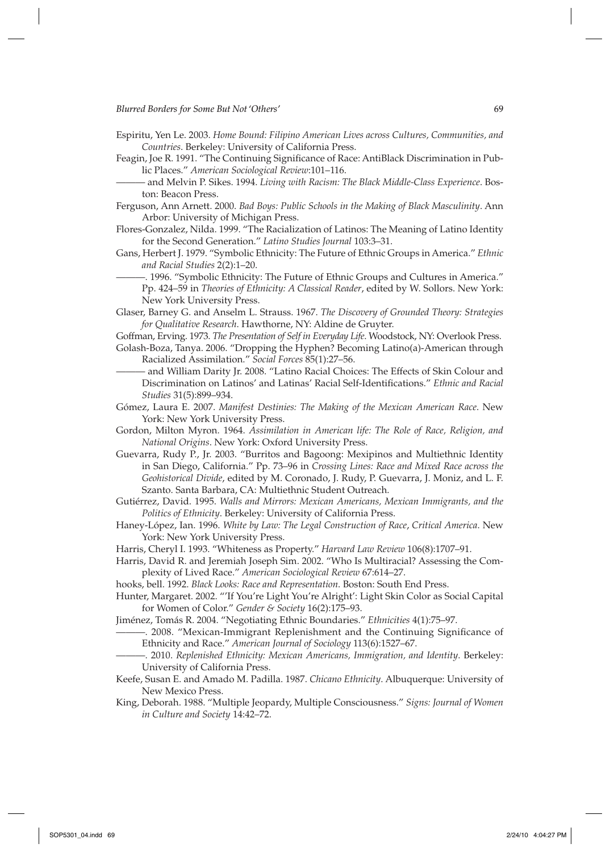- Espiritu, Yen Le. 2003. *Home Bound: Filipino American Lives across Cultures, Communities, and Countries*. Berkeley: University of California Press.
- Feagin, Joe R. 1991. "The Continuing Significance of Race: AntiBlack Discrimination in Public Places." *American Sociological Review*:101–116.
	- ——— and Melvin P. Sikes. 1994. *Living with Racism: The Black Middle-Class Experience*. Boston: Beacon Press.
- Ferguson, Ann Arnett. 2000. *Bad Boys: Public Schools in the Making of Black Masculinity*. Ann Arbor: University of Michigan Press.
- Flores-Gonzalez, Nilda. 1999. "The Racialization of Latinos: The Meaning of Latino Identity for the Second Generation." *Latino Studies Journal* 103:3–31.
- Gans, Herbert J. 1979. "Symbolic Ethnicity: The Future of Ethnic Groups in America." *Ethnic and Racial Studies* 2(2):1–20.
	- -. 1996. "Symbolic Ethnicity: The Future of Ethnic Groups and Cultures in America." Pp. 424–59 in *Theories of Ethnicity: A Classical Reader*, edited by W. Sollors. New York: New York University Press.
- Glaser, Barney G. and Anselm L. Strauss. 1967. *The Discovery of Grounded Theory: Strategies for Qualitative Research*. Hawthorne, NY: Aldine de Gruyter.
- Goffman, Erving. 1973. *The Presentation of Self in Everyday Life*. Woodstock, NY: Overlook Press.
- Golash-Boza, Tanya. 2006. "Dropping the Hyphen? Becoming Latino(a)-American through Racialized Assimilation." *Social Forces* 85(1):27–56.
	- and William Darity Jr. 2008. "Latino Racial Choices: The Effects of Skin Colour and Discrimination on Latinos' and Latinas' Racial Self-Identifications." *Ethnic and Racial Studies* 31(5):899–934.
- Gómez, Laura E. 2007. *Manifest Destinies: The Making of the Mexican American Race*. New York: New York University Press.
- Gordon, Milton Myron. 1964. *Assimilation in American life: The Role of Race, Religion, and National Origins*. New York: Oxford University Press.
- Guevarra, Rudy P., Jr. 2003. "Burritos and Bagoong: Mexipinos and Multiethnic Identity in San Diego, California." Pp. 73–96 in *Crossing Lines: Race and Mixed Race across the Geohistorical Divide*, edited by M. Coronado, J. Rudy, P. Guevarra, J. Moniz, and L. F. Szanto. Santa Barbara, CA: Multiethnic Student Outreach.
- Gutiérrez, David. 1995. *Walls and Mirrors: Mexican Americans, Mexican Immigrants, and the Politics of Ethnicity*. Berkeley: University of California Press.
- Haney-López, Ian. 1996. *White by Law: The Legal Construction of Race*, *Critical America*. New York: New York University Press.
- Harris, Cheryl I. 1993. "Whiteness as Property." *Harvard Law Review* 106(8):1707–91.
- Harris, David R. and Jeremiah Joseph Sim. 2002. "Who Is Multiracial? Assessing the Complexity of Lived Race." *American Sociological Review* 67:614–27.
- hooks, bell. 1992. *Black Looks: Race and Representation*. Boston: South End Press.
- Hunter, Margaret. 2002. "'If You're Light You're Alright': Light Skin Color as Social Capital for Women of Color." *Gender & Society* 16(2):175–93.
- Jiménez, Tomás R. 2004. "Negotiating Ethnic Boundaries." *Ethnicities* 4(1):75–97.
	- ———. 2008. "Mexican-Immigrant Replenishment and the Continuing Significance of Ethnicity and Race." *American Journal of Sociology* 113(6):1527–67.
- ———. 2010. *Replenished Ethnicity: Mexican Americans, Immigration, and Identity*. Berkeley: University of California Press.
- Keefe, Susan E. and Amado M. Padilla. 1987. *Chicano Ethnicity*. Albuquerque: University of New Mexico Press.
- King, Deborah. 1988. "Multiple Jeopardy, Multiple Consciousness." *Signs: Journal of Women in Culture and Society* 14:42–72.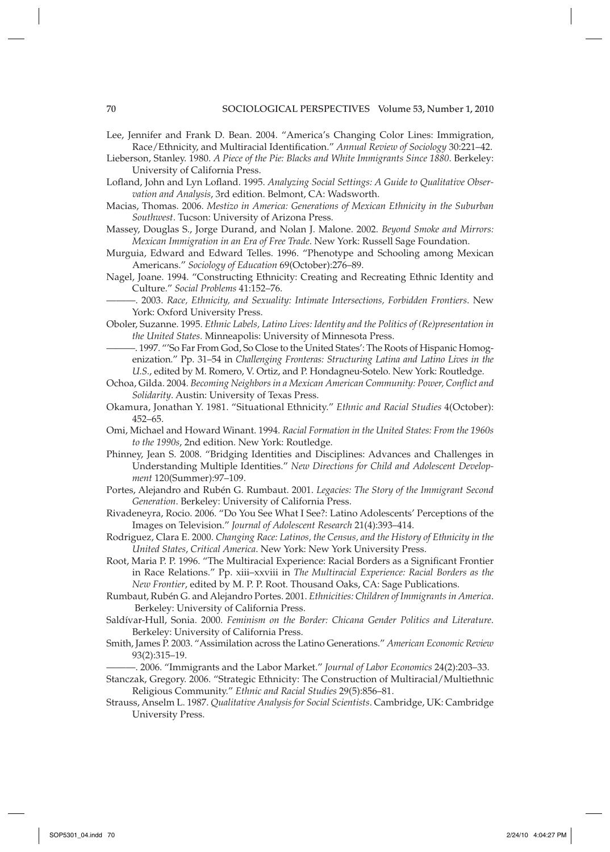- Lee, Jennifer and Frank D. Bean. 2004. "America's Changing Color Lines: Immigration, Race/Ethnicity, and Multiracial Identification." *Annual Review of Sociology* 30:221–42.
- Lieberson, Stanley. 1980. *A Piece of the Pie: Blacks and White Immigrants Since 1880*. Berkeley: University of California Press.
- Lofland, John and Lyn Lofland. 1995. *Analyzing Social Settings: A Guide to Qualitative Observation and Analysis*, 3rd edition. Belmont, CA: Wadsworth.
- Macias, Thomas. 2006. *Mestizo in America: Generations of Mexican Ethnicity in the Suburban Southwest*. Tucson: University of Arizona Press.
- Massey, Douglas S., Jorge Durand, and Nolan J. Malone. 2002. *Beyond Smoke and Mirrors: Mexican Immigration in an Era of Free Trade*. New York: Russell Sage Foundation.
- Murguia, Edward and Edward Telles. 1996. "Phenotype and Schooling among Mexican Americans." *Sociology of Education* 69(October):276–89.
- Nagel, Joane. 1994. "Constructing Ethnicity: Creating and Recreating Ethnic Identity and Culture." *Social Problems* 41:152–76.
- ———. 2003. *Race, Ethnicity, and Sexuality: Intimate Intersections, Forbidden Frontiers*. New York: Oxford University Press.
- Oboler, Suzanne. 1995. *Ethnic Labels, Latino Lives: Identity and the Politics of (Re)presentation in the United States*. Minneapolis: University of Minnesota Press.
- ———. 1997. "'So Far From God, So Close to the United States': The Roots of Hispanic Homogenization." Pp. 31–54 in *Challenging Fronteras: Structuring Latina and Latino Lives in the U.S.*, edited by M. Romero, V. Ortiz, and P. Hondagneu-Sotelo. New York: Routledge.
- Ochoa, Gilda. 2004. *Becoming Neighbors in a Mexican American Community: Power, Conflict and Solidarity*. Austin: University of Texas Press.
- Okamura, Jonathan Y. 1981. "Situational Ethnicity." *Ethnic and Racial Studies* 4(October): 452–65.
- Omi, Michael and Howard Winant. 1994. *Racial Formation in the United States: From the 1960s to the 1990s*, 2nd edition. New York: Routledge.
- Phinney, Jean S. 2008. "Bridging Identities and Disciplines: Advances and Challenges in Understanding Multiple Identities." *New Directions for Child and Adolescent Development* 120(Summer):97–109.
- Portes, Alejandro and Rubén G. Rumbaut. 2001. *Legacies: The Story of the Immigrant Second Generation*. Berkeley: University of California Press.
- Rivadeneyra, Rocio. 2006. "Do You See What I See?: Latino Adolescents' Perceptions of the Images on Television." *Journal of Adolescent Research* 21(4):393–414.
- Rodriguez, Clara E. 2000. *Changing Race: Latinos, the Census, and the History of Ethnicity in the United States*, *Critical America*. New York: New York University Press.
- Root, Maria P. P. 1996. "The Multiracial Experience: Racial Borders as a Significant Frontier in Race Relations." Pp. xiii–xxviii in *The Multiracial Experience: Racial Borders as the New Frontier*, edited by M. P. P. Root. Thousand Oaks, CA: Sage Publications.
- Rumbaut, Rubén G. and Alejandro Portes. 2001. *Ethnicities: Children of Immigrants in America*. Berkeley: University of California Press.
- Saldívar-Hull, Sonia. 2000. *Feminism on the Border: Chicana Gender Politics and Literature*. Berkeley: University of California Press.
- Smith, James P. 2003. "Assimilation across the Latino Generations." *American Economic Review* 93(2):315–19.
- ———. 2006. "Immigrants and the Labor Market." *Journal of Labor Economics* 24(2):203–33.
- Stanczak, Gregory. 2006. "Strategic Ethnicity: The Construction of Multiracial/Multiethnic Religious Community." *Ethnic and Racial Studies* 29(5):856–81.
- Strauss, Anselm L. 1987. *Qualitative Analysis for Social Scientists*. Cambridge, UK: Cambridge University Press.